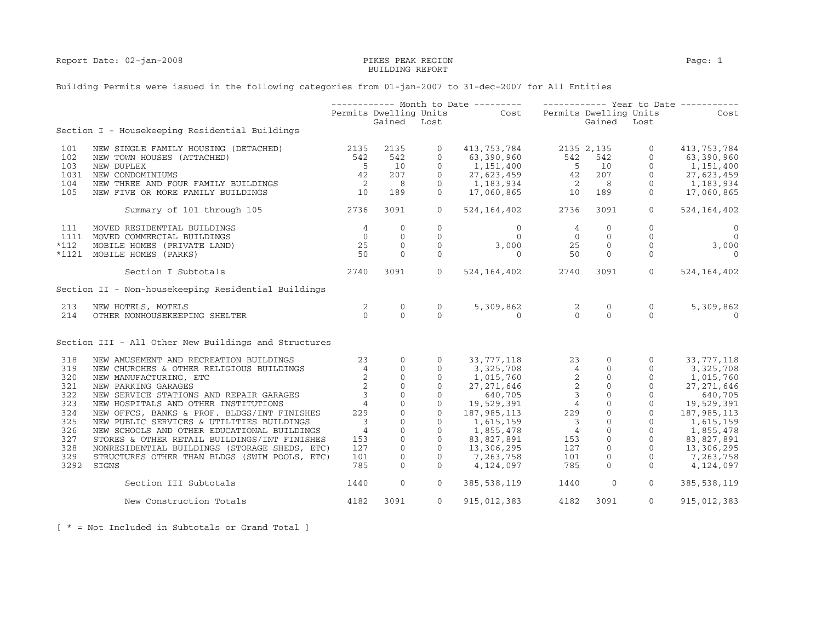# BUILDING REPORT

## Building Permits were issued in the following categories from 01-jan-2007 to 31-dec-2007 for All Entities

|        |                                                      |                                             |                                           |                   | ----------- Month to Date --------- ------------ Year to Date -----------                                                                                                                                                                                                             |                |                |                   |                              |
|--------|------------------------------------------------------|---------------------------------------------|-------------------------------------------|-------------------|---------------------------------------------------------------------------------------------------------------------------------------------------------------------------------------------------------------------------------------------------------------------------------------|----------------|----------------|-------------------|------------------------------|
|        |                                                      |                                             |                                           |                   | Permits Dwelling Units Cost Permits Dwelling Units                                                                                                                                                                                                                                    |                |                |                   | <b>Cost</b>                  |
|        |                                                      |                                             | Gained Lost                               |                   |                                                                                                                                                                                                                                                                                       |                | Gained Lost    |                   |                              |
|        | Section I - Housekeeping Residential Buildings       |                                             |                                           |                   |                                                                                                                                                                                                                                                                                       |                |                |                   |                              |
| 101    | NEW SINGLE FAMILY HOUSING (DETACHED) 2135            |                                             | 2135                                      | $\overline{0}$    | 413,753,784 2135 2,135                                                                                                                                                                                                                                                                |                |                | $\overline{0}$    | 413,753,784                  |
| 102    | NEW TOWN HOUSES (ATTACHED)                           | 542                                         | 542                                       | $\Omega$          | 63,390,960                                                                                                                                                                                                                                                                            | 542            | 542            | $\Omega$          | 63,390,960                   |
| 103    | NEW DUPLEX                                           | $5^{\circ}$                                 | 10                                        | $\overline{0}$    |                                                                                                                                                                                                                                                                                       |                |                |                   | 1,151,400                    |
| 1031   | NEW CONDOMINIUMS                                     | $\frac{42}{2}$                              | 207                                       | $\Omega$          |                                                                                                                                                                                                                                                                                       |                |                |                   | $27,623,459$<br>$37,623,459$ |
| 104    | NEW THREE AND FOUR FAMILY BUILDINGS                  |                                             | 8 <sup>8</sup>                            | $\Omega$          |                                                                                                                                                                                                                                                                                       |                |                |                   | 1,183,934                    |
| 105    | NEW FIVE OR MORE FAMILY BUILDINGS                    | 10                                          | 189                                       | $\overline{0}$    | $1,151,400$<br>$27,623,459$<br>$1,183,934$<br>$17,060,865$<br>$10$<br>$189$<br>$189$<br>$189$                                                                                                                                                                                         |                |                | $\overline{0}$    | 17,060,865                   |
|        | Summary of 101 through 105                           | 2736                                        | 3091                                      | $\overline{0}$    | 524, 164, 402 2736                                                                                                                                                                                                                                                                    |                | 3091           | $\overline{0}$    | 524,164,402                  |
| 111    | MOVED RESIDENTIAL BUILDINGS                          |                                             | $\Omega$                                  | $\Omega$          | $\Omega$                                                                                                                                                                                                                                                                              | $\overline{4}$ | $\circ$        | $\Omega$          | $\overline{0}$               |
|        | 1111 MOVED COMMERCIAL BUILDINGS                      |                                             | $\overline{0}$                            | $\overline{0}$    | $\Omega$                                                                                                                                                                                                                                                                              | $\overline{0}$ |                | $\overline{0}$    | $\bigcirc$                   |
| $*112$ | MOBILE HOMES (PRIVATE LAND)                          | $\begin{array}{c} 4 \\ 0 \\ 25 \end{array}$ | $\sim$ 0                                  | $\overline{0}$    | 3,000                                                                                                                                                                                                                                                                                 | $2\bar{5}$     |                | $\overline{0}$    | 3,000                        |
|        |                                                      | 50                                          | $\Omega$                                  | $\Omega$          | $\Omega$                                                                                                                                                                                                                                                                              |                |                | $\Omega$          | $\Omega$                     |
|        | *1121 MOBILE HOMES (PARKS)                           |                                             |                                           |                   |                                                                                                                                                                                                                                                                                       | 50             |                | $\frac{1}{2}$     |                              |
|        | Section I Subtotals                                  | 2740                                        | 3091                                      | $\Omega$          | 524, 164, 402 2740                                                                                                                                                                                                                                                                    |                | 3091           | $\Omega$          | 524,164,402                  |
|        | Section II - Non-housekeeping Residential Buildings  |                                             |                                           |                   |                                                                                                                                                                                                                                                                                       |                |                |                   |                              |
| 213    | NEW HOTELS, MOTELS                                   |                                             | $\overline{0}$                            | $0 \qquad \qquad$ |                                                                                                                                                                                                                                                                                       |                | $\overline{0}$ | $0 \qquad \qquad$ | 5,309,862                    |
| 214    | OTHER NONHOUSEKEEPING SHELTER                        | $\frac{2}{0}$                               | $\Omega$                                  | $\Omega$          | $5,309,862$ 2<br>0 0                                                                                                                                                                                                                                                                  |                | $\Omega$       | $\Omega$          | $\Omega$                     |
|        | Section III - All Other New Buildings and Structures |                                             |                                           |                   | $\begin{array}{cccc} 77,118 & 23 & 0 & 0\\ 7,325,708 & 4 & 0 & 0\\ 1,015,7760 & 2 & 0 & 0 & 1,01\\ 27,271,646 & 2 & 0 & 0 & 27,2\\ 640,705 & 3 & 0 & 0 & 27,2\\ 187,985,113 & 229 & 0 & 0 & 19\\ 1,615,159 & 3 & 0 & 0 & 1\\ 1,615,159 & 3 & 0 & 0 & 1\\ 355,478 & 4 & 0 & 0 & 0\\ 2$ |                |                |                   |                              |
| 318    | NEW AMUSEMENT AND RECREATION BUILDINGS               | 23                                          | $\mathbf{0}$                              | $\overline{0}$    |                                                                                                                                                                                                                                                                                       |                |                |                   | 33,777,118                   |
| 319    | NEW CHURCHES & OTHER RELIGIOUS BUILDINGS             | $\frac{1}{4}$                               | $\overline{0}$                            | $\Omega$          |                                                                                                                                                                                                                                                                                       |                |                |                   | 3,325,708                    |
| 320    | NEW MANUFACTURING, ETC                               | 2                                           | $\overline{0}$                            | $\overline{0}$    |                                                                                                                                                                                                                                                                                       |                |                |                   |                              |
|        |                                                      |                                             |                                           | $\overline{0}$    |                                                                                                                                                                                                                                                                                       |                |                |                   | 1,015,760<br>27,271,646      |
| 321    | NEW PARKING GARAGES                                  | $\frac{2}{3}$                               |                                           |                   |                                                                                                                                                                                                                                                                                       |                |                |                   | 27, 271, 646                 |
| 322    | NEW SERVICE STATIONS AND REPAIR GARAGES              |                                             | $\begin{matrix} 0 \\ 0 \\ 0 \end{matrix}$ | $\overline{0}$    |                                                                                                                                                                                                                                                                                       |                |                |                   | 640,705                      |
| 323    | NEW HOSPITALS AND OTHER INSTITUTIONS                 | $\begin{array}{c} 4 \\ 229 \end{array}$     | $\overline{0}$                            | $\overline{0}$    |                                                                                                                                                                                                                                                                                       |                |                |                   | $0 \qquad 19,529,391$        |
| 324    | NEW OFFCS, BANKS & PROF. BLDGS/INT FINISHES          | 229                                         | $\overline{0}$                            | $\overline{0}$    |                                                                                                                                                                                                                                                                                       |                |                |                   | 187, 985, 113                |
| 325    | NEW PUBLIC SERVICES & UTILITIES BUILDINGS            | $\overline{\phantom{a}}$                    | $\Omega$                                  | $\Omega$          |                                                                                                                                                                                                                                                                                       |                |                |                   | 1,615,159                    |
| 326    | NEW SCHOOLS AND OTHER EDUCATIONAL BUILDINGS          | $\overline{4}$                              | $\mathsf{O}\xspace$                       | $\overline{0}$    |                                                                                                                                                                                                                                                                                       |                |                |                   | 1,855,478                    |
| 327    | STORES & OTHER RETAIL BUILDINGS/INT FINISHES         | 153                                         | $\overline{0}$                            | $\overline{0}$    |                                                                                                                                                                                                                                                                                       |                |                |                   | 83,827,891                   |
| 328    | NONRESIDENTIAL BUILDINGS (STORAGE SHEDS, ETC)        | 127                                         | $\mathbf{0}$                              | $\overline{0}$    |                                                                                                                                                                                                                                                                                       |                |                |                   | 13,306,295                   |
| 329    | STRUCTURES OTHER THAN BLDGS (SWIM POOLS, ETC)        | 101                                         | $\mathbf 0$                               | $\overline{0}$    |                                                                                                                                                                                                                                                                                       |                |                |                   | 7,263,758                    |
|        | 3292 SIGNS                                           | 785                                         | $\Omega$                                  | $\Omega$          | 7,263,758<br>4,124,097                                                                                                                                                                                                                                                                |                |                |                   | 4,124,097                    |
|        | Section III Subtotals                                | 1440                                        | $\mathbf{0}$                              | $\overline{0}$    | 385,538,119                                                                                                                                                                                                                                                                           | 1440           | $\overline{0}$ | $\Omega$          | 385,538,119                  |
|        | New Construction Totals                              | 4182                                        | 3091                                      | $\Omega$          | 915,012,383                                                                                                                                                                                                                                                                           | 4182           | 3091           | $\Omega$          | 915,012,383                  |

[ \* = Not Included in Subtotals or Grand Total ]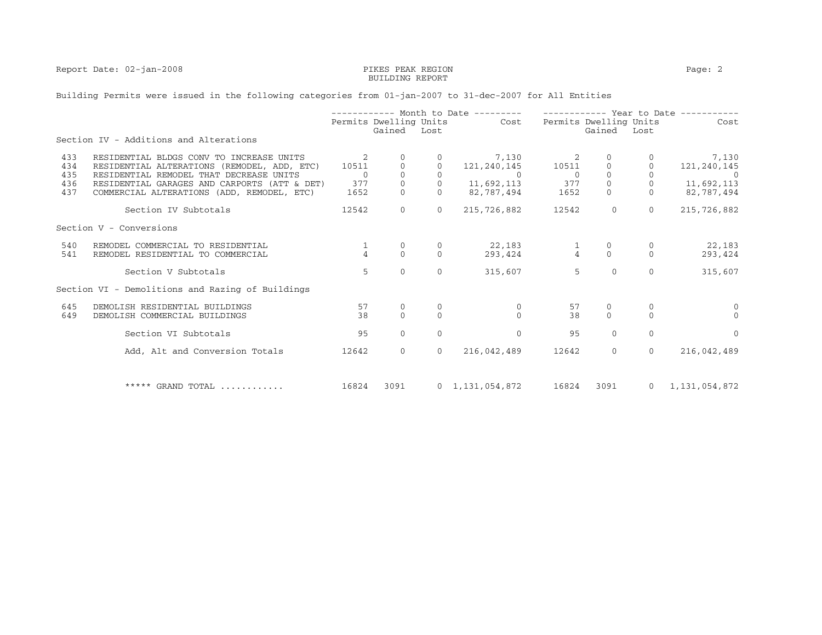### Report Date: 02-jan-2008 PEAK PEAK REGION PERS PEAK REGION Page: 2 external property of the contract of the BUILDING REPORT  $\sim$

## Building Permits were issued in the following categories from 01-jan-2007 to 31-dec-2007 for All Entities

|                          |                                                                                                                                                                                    | ----------- Month to Date --------- |                                  |              | ----------- Year to Date ---------- |                               |                                  |                        |                                    |
|--------------------------|------------------------------------------------------------------------------------------------------------------------------------------------------------------------------------|-------------------------------------|----------------------------------|--------------|-------------------------------------|-------------------------------|----------------------------------|------------------------|------------------------------------|
|                          |                                                                                                                                                                                    |                                     | Permits Dwelling Units<br>Gained | Lost         | Cost                                |                               | Permits Dwelling Units<br>Gained | Lost                   | Cost                               |
|                          | Section IV - Additions and Alterations                                                                                                                                             |                                     |                                  |              |                                     |                               |                                  |                        |                                    |
| 433<br>434<br>435<br>436 | RESIDENTIAL BLDGS CONV TO INCREASE UNITS<br>RESIDENTIAL ALTERATIONS (REMODEL, ADD, ETC)<br>RESIDENTIAL REMODEL THAT DECREASE UNITS<br>RESIDENTIAL GARAGES AND CARPORTS (ATT & DET) | 10511<br>$\Omega$<br>377            | $\mathbb O$<br>$\mathbb O$       |              | 7,130<br>121,240,145<br>11,692,113  | 2<br>10511<br>$\Omega$<br>377 | $\overline{0}$                   | $\mathbf{0}$           | 7,130<br>121,240,145<br>11,692,113 |
| 437                      | COMMERCIAL ALTERATIONS (ADD, REMODEL, ETC)                                                                                                                                         | 1652                                | $\Omega$                         |              | 82,787,494                          | 1652                          | $\Omega$                         | $\Omega$               | 82,787,494                         |
|                          | Section IV Subtotals                                                                                                                                                               | 12542                               | $\mathbf{0}$                     | $\mathbf{0}$ | 215,726,882                         | 12542                         | $\mathbf{0}$                     | $\mathbf{0}$           | 215,726,882                        |
|                          | Section V - Conversions                                                                                                                                                            |                                     |                                  |              |                                     |                               |                                  |                        |                                    |
| 540<br>541               | REMODEL COMMERCIAL TO RESIDENTIAL<br>REMODEL RESIDENTIAL TO COMMERCIAL                                                                                                             | $\Delta$                            | 0<br>$\Omega$                    | $\Omega$     | 22,183<br>293,424                   | $\frac{1}{4}$                 | $\Omega$                         | 0<br>$\Omega$          | 22,183<br>293,424                  |
|                          | Section V Subtotals                                                                                                                                                                | 5                                   | $\Omega$                         | $\Omega$     | 315,607                             | 5                             | $\Omega$                         | $\Omega$               | 315,607                            |
|                          | Section VI - Demolitions and Razing of Buildings                                                                                                                                   |                                     |                                  |              |                                     |                               |                                  |                        |                                    |
| 645<br>649               | DEMOLISH RESIDENTIAL BUILDINGS<br>DEMOLISH COMMERCIAL BUILDINGS                                                                                                                    | 57<br>38                            | $\mathbf 0$<br>$\Omega$          | 0<br>$\cap$  | 0<br>$\Omega$                       | 57<br>38                      | 0<br>$\Omega$                    | $\mathbf{0}$<br>$\cap$ | $\cap$                             |
|                          | Section VI Subtotals                                                                                                                                                               | 95                                  | $\Omega$                         | $\Omega$     | $\Omega$                            | 95                            | $\Omega$                         | $\Omega$               | $\Omega$                           |
|                          | Add, Alt and Conversion Totals                                                                                                                                                     | 12642                               | $\mathbf{0}$                     | $\circ$      | 216,042,489                         | 12642                         | $\mathbf{0}$                     | $\overline{0}$         | 216,042,489                        |
|                          | ***** GRAND TOTAL                                                                                                                                                                  | 16824                               | 3091                             |              | $0 \quad 1,131,054,872$             | 16824                         | 3091                             | $\overline{0}$         | 1,131,054,872                      |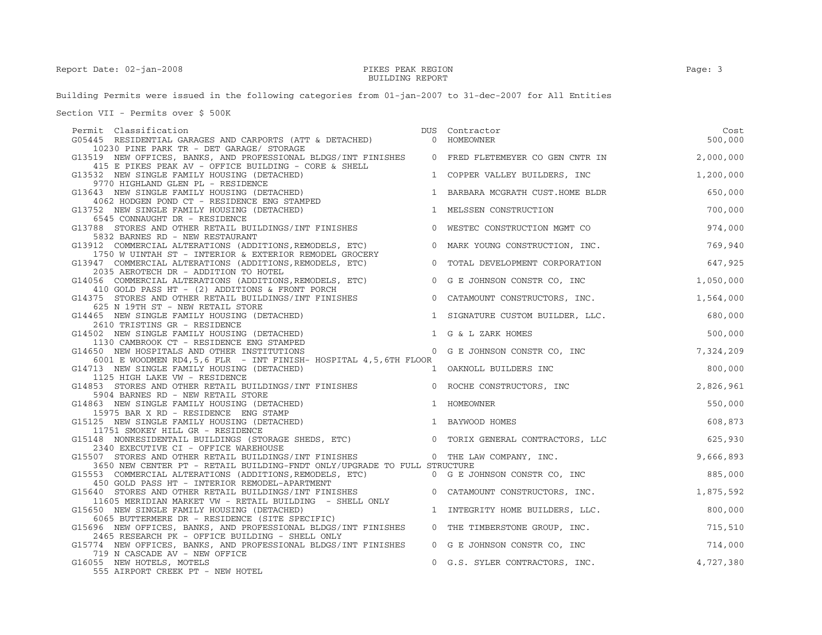#### Report Date: 02-jan-2008 Page: 3 external property of the contract of the BUILDING REPORT  $\sim$

Building Permits were issued in the following categories from 01-jan-2007 to 31-dec-2007 for All Entities

Section VII - Permits over \$ 500K

| Permit Classification<br>G05445 RESIDENTIAL GARAGES AND CARPORTS (ATT & DETACHED)                                                                                                         | DUS | Contractor<br>0 HOMEOWNER                                                       | Cost<br>500,000 |
|-------------------------------------------------------------------------------------------------------------------------------------------------------------------------------------------|-----|---------------------------------------------------------------------------------|-----------------|
| 10230 PINE PARK TR - DET GARAGE/ STORAGE                                                                                                                                                  |     |                                                                                 |                 |
| G13519 NEW OFFICES, BANKS, AND PROFESSIONAL BLDGS/INT FINISHES<br>415 E PIKES PEAK AV - OFFICE BUILDING - CORE & SHELL                                                                    |     | 0 FRED FLETEMEYER CO GEN CNTR IN                                                | 2,000,000       |
| G13532 NEW SINGLE FAMILY HOUSING (DETACHED)<br>9770 HIGHLAND GLEN PL - RESIDENCE                                                                                                          |     | 1 COPPER VALLEY BUILDERS, INC                                                   | 1,200,000       |
| G13643 NEW SINGLE FAMILY HOUSING (DETACHED)<br>4062 HODGEN POND CT - RESIDENCE ENG STAMPED                                                                                                | 1   | BARBARA MCGRATH CUST.HOME BLDR                                                  | 650,000         |
| G13752 NEW SINGLE FAMILY HOUSING (DETACHED)<br>6545 CONNAUGHT DR - RESIDENCE                                                                                                              |     | 1 MELSSEN CONSTRUCTION                                                          | 700,000         |
| G13788 STORES AND OTHER RETAIL BUILDINGS/INT FINISHES<br>5832 BARNES RD - NEW RESTAURANT                                                                                                  |     | 0 WESTEC CONSTRUCTION MGMT CO                                                   | 974,000         |
| G13912 COMMERCIAL ALTERATIONS (ADDITIONS, REMODELS, ETC)<br>1750 W UINTAH ST - INTERIOR & EXTERIOR REMODEL GROCERY                                                                        |     | 0 MARK YOUNG CONSTRUCTION, INC.                                                 | 769,940         |
| G13947 COMMERCIAL ALTERATIONS (ADDITIONS, REMODELS, ETC)<br>2035 AEROTECH DR - ADDITION TO HOTEL                                                                                          |     | 0 TOTAL DEVELOPMENT CORPORATION                                                 | 647,925         |
| G14056 COMMERCIAL ALTERATIONS (ADDITIONS, REMODELS, ETC) 0 G E JOHNSON CONSTR CO, INC<br>410 GOLD PASS HT - (2) ADDITIONS & FRONT PORCH<br>410 GOLD PASS HT - (2) ADDITIONS & FRONT PORCH |     |                                                                                 | 1,050,000       |
| G14375 STORES AND OTHER RETAIL BUILDINGS/INT FINISHES<br>625 N 19TH ST - NEW RETAIL STORE                                                                                                 |     | 0 CATAMOUNT CONSTRUCTORS, INC.                                                  | 1,564,000       |
| G14465 NEW SINGLE FAMILY HOUSING (DETACHED)<br>2610 TRISTINS GR - RESIDENCE                                                                                                               |     | 1 SIGNATURE CUSTOM BUILDER, LLC.                                                | 680,000         |
| G14502 NEW SINGLE FAMILY HOUSING (DETACHED)<br>1130 CAMBROOK CT - RESIDENCE ENG STAMPED                                                                                                   |     | 1 G & L ZARK HOMES                                                              | 500,000         |
| G14650 NEW HOSPITALS AND OTHER INSTITUTIONS<br>6001 E WOODMEN RD4, 5, 6 FLR - INT FINISH- HOSPITAL 4, 5, 6TH FLOOR                                                                        |     | 0 G E JOHNSON CONSTR CO, INC                                                    | 7,324,209       |
| G14713 NEW SINGLE FAMILY HOUSING (DETACHED)<br>1125 HIGH LAKE VW - RESIDENCE                                                                                                              |     | 1 OAKNOLL BUILDERS INC                                                          | 800,000         |
| G14853 STORES AND OTHER RETAIL BUILDINGS/INT FINISHES<br>5904 BARNES RD - NEW RETAIL STORE                                                                                                |     | 0 ROCHE CONSTRUCTORS, INC                                                       | 2,826,961       |
| G14863 NEW SINGLE FAMILY HOUSING (DETACHED)<br>15975 BAR X RD - RESIDENCE ENG STAMP                                                                                                       |     | 1 HOMEOWNER                                                                     | 550,000         |
| G15125 NEW SINGLE FAMILY HOUSING (DETACHED)                                                                                                                                               |     | 1 BAYWOOD HOMES                                                                 | 608,873         |
| 11751 SMOKEY HILL GR - RESIDENCE<br>G15148 NONRESIDENTAIL BUILDINGS (STORAGE SHEDS, ETC) 0 TORIX GENERAL CONTRACTORS, LLC                                                                 |     |                                                                                 | 625,930         |
| 2340 EXECUTIVE CI - OFFICE WAREHOUSE<br>G15507 STORES AND OTHER RETAIL BUILDINGS/INT FINISHES                                                                                             |     | $\begin{array}{cc}\n 0 & \text{THE LAW COMPANY}, & \text{INC.} \\  \end{array}$ | 9,666,893       |
| 3650 NEW CENTER PT - RETAIL BUILDING-FNDT ONLY/UPGRADE TO FULL STRUCTURE<br>G15553 COMMERCIAL ALTERATIONS (ADDITIONS, REMODELS, ETC) 0 G E JOHNSON CONSTR CO, INC                         |     |                                                                                 | 885,000         |
| 450 GOLD PASS HT - INTERIOR REMODEL-APARTMENT<br>G15640 STORES AND OTHER RETAIL BUILDINGS/INT FINISHES                                                                                    |     | 0 CATAMOUNT CONSTRUCTORS, INC.                                                  | 1,875,592       |
| 11605 MERIDIAN MARKET VW - RETAIL BUILDING - SHELL ONLY<br>G15650 NEW SINGLE FAMILY HOUSING (DETACHED)                                                                                    |     | 1 INTEGRITY HOME BUILDERS, LLC.                                                 | 800,000         |
| 6065 BUTTERMERE DR - RESIDENCE (SITE SPECIFIC)<br>G15696 NEW OFFICES, BANKS, AND PROFESSIONAL BLDGS/INT FINISHES                                                                          |     | 0 THE TIMBERSTONE GROUP, INC.                                                   | 715,510         |
| 2465 RESEARCH PK - OFFICE BUILDING - SHELL ONLY<br>G15774 NEW OFFICES, BANKS, AND PROFESSIONAL BLDGS/INT FINISHES                                                                         |     | 0 G E JOHNSON CONSTR CO, INC                                                    | 714,000         |
| 719 N CASCADE AV - NEW OFFICE<br>G16055 NEW HOTELS, MOTELS<br>555 AIRPORT CREEK PT - NEW HOTEL                                                                                            |     | 0 G.S. SYLER CONTRACTORS, INC.                                                  | 4,727,380       |
|                                                                                                                                                                                           |     |                                                                                 |                 |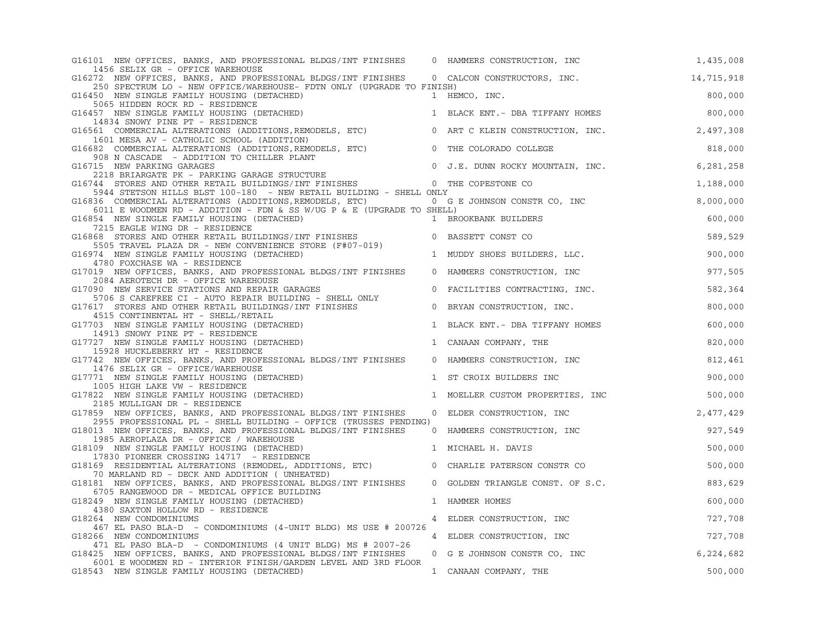| G16101 NEW OFFICES, BANKS, AND PROFESSIONAL BLDGS/INT FINISHES                                                                                                                                                                           | 0 HAMMERS CONSTRUCTION, INC              | 1,435,008  |
|------------------------------------------------------------------------------------------------------------------------------------------------------------------------------------------------------------------------------------------|------------------------------------------|------------|
| 1456 SELIX GR - OFFICE WAREHOUSE<br>G16272 NEW OFFICES, BANKS, AND PROFESSIONAL BLDGS/INT FINISHES 0 CALCON CONSTRUCTORS, INC.                                                                                                           |                                          | 14,715,918 |
| 250 SPECTRUM LO - NEW OFFICE/WAREHOUSE- FDTN ONLY (UPGRADE TO FINISH)                                                                                                                                                                    |                                          |            |
| G16450 NEW SINGLE FAMILY HOUSING (DETACHED)<br>1 HEMCO, INC.<br>5065 HIDDEN ROCK RD - RESIDENCE                                                                                                                                          |                                          | 800,000    |
| G16457 NEW SINGLE FAMILY HOUSING (DETACHED)                                                                                                                                                                                              | 1 BLACK ENT. - DBA TIFFANY HOMES 800,000 |            |
| 14834 SNOWY PINE PT - RESIDENCE<br>G16561 COMMERCIAL ALTERATIONS (ADDITIONS, REMODELS, ETC) 0 ART C KLEIN CONSTRUCTION, INC.                                                                                                             |                                          | 2,497,308  |
| 1601 MESA AV - CATHOLIC SCHOOL (ADDITION)<br>G16682 COMMERCIAL ALTERATIONS (ADDITIONS, REMODELS, ETC)                                                                                                                                    | 0 THE COLORADO COLLEGE                   | 818,000    |
| 908 N CASCADE - ADDITION TO CHILLER PLANT                                                                                                                                                                                                | 0 J.E. DUNN ROCKY MOUNTAIN, INC.         | 6,281,258  |
| G16715 NEW PARKING GARAGES<br>2218 BRIARGATE PK - PARKING GARAGE STRUCTURE<br>G16744 STORES AND OTHER RETAIL BUILDINGS/INT FINISHES<br>0 THE COPESTONE CO                                                                                |                                          | 1,188,000  |
| 5944 STETSON HILLS BLST 100-180 - NEW RETAIL BUILDING - SHELL ONLY                                                                                                                                                                       |                                          |            |
| G16836 COMMERCIAL ALTERATIONS (ADDITIONS, REMODELS, ETC) 0 G E JOHNSON CONSTR CO, INC<br>6011 E WOODMEN RD - ADDITION - FDN & SS W/UG P & E (UPGRADE TO SHELL)                                                                           |                                          | 8,000,000  |
| G16854 NEW SINGLE FAMILY HOUSING (DETACHED)                                                                                                                                                                                              | 1 BROOKBANK BUILDERS                     | 600,000    |
| 7215 EAGLE WING DR - RESIDENCE<br>G16868 STORES AND OTHER RETAIL BUILDINGS/INT FINISHES <b>60 BASSETT CONST CO</b><br>5505 TRAVEL PLAZA DR - NEW CONVENIENCE STORE (F#07-019)                                                            |                                          | 589,529    |
| G16974 NEW SINGLE FAMILY HOUSING (DETACHED)<br>4780 FOXCHASE WA - RESIDENCE                                                                                                                                                              | 1 MUDDY SHOES BUILDERS, LLC.             | 900,000    |
| G17019 NEW OFFICES, BANKS, AND PROFESSIONAL BLDGS/INT FINISHES<br>2084 AEROTECH DR - OFFICE WAREHOUSE                                                                                                                                    | 0 HAMMERS CONSTRUCTION, INC              | 977,505    |
| G17090 NEW SERVICE STATIONS AND REPAIR GARAGES<br>990 NEW SERVICE STATIONS AND REPAIR GARAGES<br>1706 S CAREFREE CI - AUTO REPAIR BUILDING - SHELL ONLY<br>17 STORES AND OTHER RETAIL BUILDINGS/INT FINISHES 10 BRYAN CONSTRUCTION, INC. | 0 FACILITIES CONTRACTING, INC.           | 582,364    |
| G17617 STORES AND OTHER RETAIL BUILDINGS/INT FINISHES<br>4515 CONTINENTAL HT - SHELL/RETAIL                                                                                                                                              |                                          | 800,000    |
| G17703 NEW SINGLE FAMILY HOUSING (DETACHED)<br>14913 SNOWY PINE PT - RESIDENCE                                                                                                                                                           | 1 BLACK ENT. - DBA TIFFANY HOMES         | 600,000    |
| G17727 NEW SINGLE FAMILY HOUSING (DETACHED)                                                                                                                                                                                              | 1 CANAAN COMPANY, THE                    | 820,000    |
| 15928 HUCKLEBERRY HT - RESIDENCE<br>G17742 NEW OFFICES, BANKS, AND PROFESSIONAL BLDGS/INT FINISHES<br>1476 SELIX GR - OFFICE/WAREHOUSE                                                                                                   | 0 HAMMERS CONSTRUCTION, INC              | 812,461    |
| G17771 NEW SINGLE FAMILY HOUSING (DETACHED)                                                                                                                                                                                              | 1 ST CROIX BUILDERS INC                  | 900,000    |
| 1005 HIGH LAKE VW - RESIDENCE<br>G17822 NEW SINGLE FAMILY HOUSING (DETACHED)                                                                                                                                                             | 1 MOELLER CUSTOM PROPERTIES, INC         | 500,000    |
| 2185 MULLIGAN DR - RESIDENCE<br>G17859 NEW OFFICES, BANKS, AND PROFESSIONAL BLDGS/INT FINISHES                                                                                                                                           | 0 ELDER CONSTRUCTION, INC                | 2,477,429  |
| 2955 PROFESSIONAL PL - SHELL BUILDING - OFFICE (TRUSSES PENDING)<br>G18013 NEW OFFICES, BANKS, AND PROFESSIONAL BLDGS/INT FINISHES<br>1985 AEROPLAZA DR - OFFICE / WAREHOUSE                                                             | 0 HAMMERS CONSTRUCTION, INC              | 927,549    |
| G18109 NEW SINGLE FAMILY HOUSING (DETACHED)                                                                                                                                                                                              | 1 MICHAEL H. DAVIS                       | 500,000    |
| 17830 PIONEER CROSSING 14717 - RESIDENCE<br>G18169 RESIDENTIAL ALTERATIONS (REMODEL, ADDITIONS, ETC)<br>70 MARLAND RD - DECK AND ADDITION ( UNHEATED)                                                                                    | 0 CHARLIE PATERSON CONSTR CO             | 500,000    |
| G18181 NEW OFFICES, BANKS, AND PROFESSIONAL BLDGS/INT FINISHES                                                                                                                                                                           | 0 GOLDEN TRIANGLE CONST. OF S.C.         | 883,629    |
| 6705 RANGEWOOD DR - MEDICAL OFFICE BUILDING<br>G18249 NEW SINGLE FAMILY HOUSING (DETACHED)                                                                                                                                               | 1 HAMMER HOMES                           | 600,000    |
| 4380 SAXTON HOLLOW RD - RESIDENCE<br>G18264 NEW CONDOMINIUMS                                                                                                                                                                             | 4 ELDER CONSTRUCTION, INC                | 727,708    |
| 467 EL PASO BLA-D - CONDOMINIUMS (4-UNIT BLDG) MS USE # 200726                                                                                                                                                                           |                                          |            |
| G18266 NEW CONDOMINIUMS                                                                                                                                                                                                                  | 4 ELDER CONSTRUCTION, INC                | 727,708    |
| 471 EL PASO BLA-D - CONDOMINIUMS (4 UNIT BLDG) MS # 2007-26<br>G18425 NEW OFFICES, BANKS, AND PROFESSIONAL BLDGS/INT FINISHES                                                                                                            | 0 G E JOHNSON CONSTR CO, INC             | 6,224,682  |
| 6001 E WOODMEN RD - INTERIOR FINISH/GARDEN LEVEL AND 3RD FLOOR<br>G18543 NEW SINGLE FAMILY HOUSING (DETACHED)                                                                                                                            | 1 CANAAN COMPANY, THE                    | 500,000    |
|                                                                                                                                                                                                                                          |                                          |            |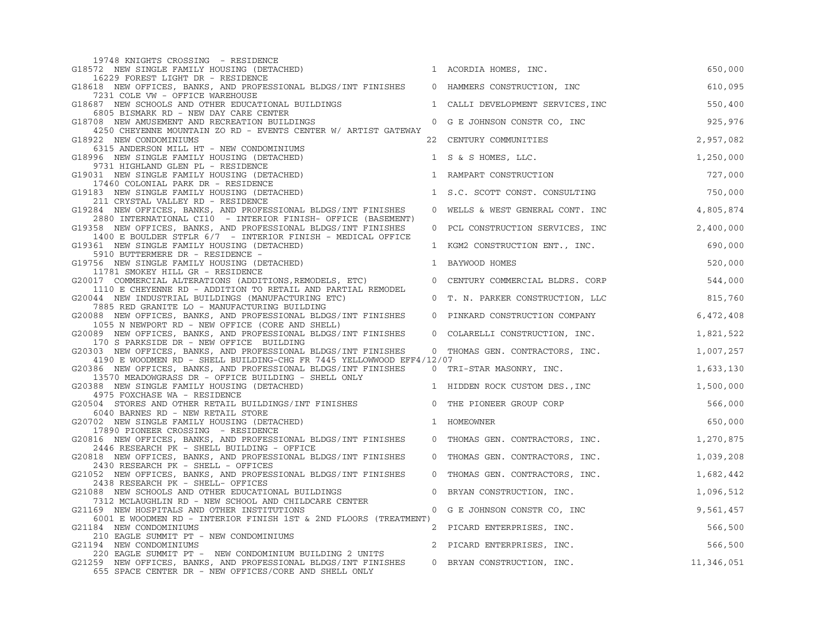| 19748 KNIGHTS CROSSING - RESIDENCE                                                                                                     |                |                                 |            |
|----------------------------------------------------------------------------------------------------------------------------------------|----------------|---------------------------------|------------|
| G18572 NEW SINGLE FAMILY HOUSING (DETACHED)<br>16229 FOREST LIGHT DR - RESIDENCE                                                       |                | 1 ACORDIA HOMES, INC.           | 650,000    |
| G18618 NEW OFFICES, BANKS, AND PROFESSIONAL BLDGS/INT FINISHES                                                                         |                | 0 HAMMERS CONSTRUCTION, INC     | 610,095    |
| 7231 COLE VW - OFFICE WAREHOUSE<br>G18687 NEW SCHOOLS AND OTHER EDUCATIONAL BUILDINGS                                                  | 1              | CALLI DEVELOPMENT SERVICES, INC | 550,400    |
| 6805 BISMARK RD - NEW DAY CARE CENTER<br>G18708 NEW AMUSEMENT AND RECREATION BUILDINGS                                                 |                |                                 | 925,976    |
| 4250 CHEYENNE MOUNTAIN ZO RD - EVENTS CENTER W/ ARTIST GATEWAY                                                                         | $\overline{0}$ | G E JOHNSON CONSTR CO, INC      |            |
| G18922 NEW CONDOMINIUMS<br>6315 ANDERSON MILL HT - NEW CONDOMINIUMS                                                                    | 22             | CENTURY COMMUNITIES             | 2,957,082  |
| G18996 NEW SINGLE FAMILY HOUSING (DETACHED)                                                                                            |                | 1 S & S HOMES, LLC.             | 1,250,000  |
| 9731 HIGHLAND GLEN PL - RESIDENCE<br>G19031 NEW SINGLE FAMILY HOUSING (DETACHED)                                                       |                | 1 RAMPART CONSTRUCTION          | 727,000    |
| 17460 COLONIAL PARK DR - RESIDENCE                                                                                                     |                |                                 |            |
| G19183 NEW SINGLE FAMILY HOUSING (DETACHED)<br>211 CRYSTAL VALLEY RD - RESIDENCE                                                       |                | 1 S.C. SCOTT CONST. CONSULTING  | 750,000    |
| G19284 NEW OFFICES, BANKS, AND PROFESSIONAL BLDGS/INT FINISHES                                                                         | $\mathbf 0$    | WELLS & WEST GENERAL CONT. INC  | 4,805,874  |
| 2880 INTERNATIONAL CI10 - INTERIOR FINISH- OFFICE (BASEMENT)<br>G19358 NEW OFFICES, BANKS, AND PROFESSIONAL BLDGS/INT FINISHES         | $\Omega$       | PCL CONSTRUCTION SERVICES, INC  | 2,400,000  |
| 1400 E BOULDER STFLR 6/7 - INTERIOR FINISH - MEDICAL OFFICE<br>G19361 NEW SINGLE FAMILY HOUSING (DETACHED)                             |                | 1 KGM2 CONSTRUCTION ENT., INC.  | 690,000    |
| 5910 BUTTERMERE DR - RESIDENCE -                                                                                                       |                |                                 |            |
| G19756 NEW SINGLE FAMILY HOUSING (DETACHED)<br>11781 SMOKEY HILL GR - RESIDENCE                                                        | 1              | BAYWOOD HOMES                   | 520,000    |
| G20017 COMMERCIAL ALTERATIONS (ADDITIONS, REMODELS, ETC)                                                                               | $\mathbf 0$    | CENTURY COMMERCIAL BLDRS. CORP  | 544,000    |
| 1110 E CHEYENNE RD - ADDITION TO RETAIL AND PARTIAL REMODEL<br>G20044 NEW INDUSTRIAL BUILDINGS (MANUFACTURING ETC)                     | $\overline{0}$ | T. N. PARKER CONSTRUCTION, LLC  | 815,760    |
| 7885 RED GRANITE LO - MANUFACTURING BUILDING<br>G20088 NEW OFFICES, BANKS, AND PROFESSIONAL BLDGS/INT FINISHES                         | $\mathbf 0$    | PINKARD CONSTRUCTION COMPANY    | 6,472,408  |
| 1055 N NEWPORT RD - NEW OFFICE (CORE AND SHELL)                                                                                        |                |                                 |            |
| G20089 NEW OFFICES, BANKS, AND PROFESSIONAL BLDGS/INT FINISHES<br>170 S PARKSIDE DR - NEW OFFICE BUILDING                              | $\overline{0}$ | COLARELLI CONSTRUCTION, INC.    | 1,821,522  |
| G20303 NEW OFFICES, BANKS, AND PROFESSIONAL BLDGS/INT FINISHES                                                                         |                | 0 THOMAS GEN. CONTRACTORS, INC. | 1,007,257  |
| 4190 E WOODMEN RD - SHELL BUILDING-CHG FR 7445 YELLOWWOOD EFF4/12/07<br>G20386 NEW OFFICES, BANKS, AND PROFESSIONAL BLDGS/INT FINISHES |                | 0 TRI-STAR MASONRY, INC.        | 1,633,130  |
| 13570 MEADOWGRASS DR - OFFICE BUILDING - SHELL ONLY                                                                                    |                |                                 |            |
| G20388 NEW SINGLE FAMILY HOUSING (DETACHED)<br>4975 FOXCHASE WA - RESIDENCE                                                            |                | 1 HIDDEN ROCK CUSTOM DES., INC  | 1,500,000  |
| G20504 STORES AND OTHER RETAIL BUILDINGS/INT FINISHES                                                                                  |                | 0 THE PIONEER GROUP CORP        | 566,000    |
| 6040 BARNES RD - NEW RETAIL STORE<br>G20702 NEW SINGLE FAMILY HOUSING (DETACHED)                                                       |                | 1 HOMEOWNER                     | 650,000    |
| 17890 PIONEER CROSSING - RESIDENCE                                                                                                     |                |                                 |            |
| G20816 NEW OFFICES, BANKS, AND PROFESSIONAL BLDGS/INT FINISHES<br>2446 RESEARCH PK - SHELL BUILDING - OFFICE                           |                | 0 THOMAS GEN. CONTRACTORS, INC. | 1,270,875  |
| G20818 NEW OFFICES, BANKS, AND PROFESSIONAL BLDGS/INT FINISHES                                                                         |                | 0 THOMAS GEN. CONTRACTORS, INC. | 1,039,208  |
| 2430 RESEARCH PK - SHELL - OFFICES<br>G21052 NEW OFFICES, BANKS, AND PROFESSIONAL BLDGS/INT FINISHES                                   | $\overline{0}$ | THOMAS GEN. CONTRACTORS, INC.   | 1,682,442  |
| 2438 RESEARCH PK - SHELL- OFFICES<br>G21088 NEW SCHOOLS AND OTHER EDUCATIONAL BUILDINGS                                                |                |                                 | 1,096,512  |
| 7312 MCLAUGHLIN RD - NEW SCHOOL AND CHILDCARE CENTER                                                                                   | $\mathbf 0$    | BRYAN CONSTRUCTION, INC.        |            |
| G21169 NEW HOSPITALS AND OTHER INSTITUTIONS                                                                                            | $\mathbf 0$    | G E JOHNSON CONSTR CO, INC      | 9,561,457  |
| 6001 E WOODMEN RD - INTERIOR FINISH 1ST & 2ND FLOORS (TREATMENT)<br>G21184 NEW CONDOMINIUMS                                            |                | 2 PICARD ENTERPRISES, INC.      | 566,500    |
| 210 EAGLE SUMMIT PT - NEW CONDOMINIUMS                                                                                                 |                |                                 |            |
| G21194 NEW CONDOMINIUMS                                                                                                                |                | 2 PICARD ENTERPRISES, INC.      | 566,500    |
| 220 EAGLE SUMMIT PT - NEW CONDOMINIUM BUILDING 2 UNITS<br>G21259 NEW OFFICES, BANKS, AND PROFESSIONAL BLDGS/INT FINISHES               |                | 0 BRYAN CONSTRUCTION, INC.      | 11,346,051 |
| 655 SPACE CENTER DR - NEW OFFICES/CORE AND SHELL ONLY                                                                                  |                |                                 |            |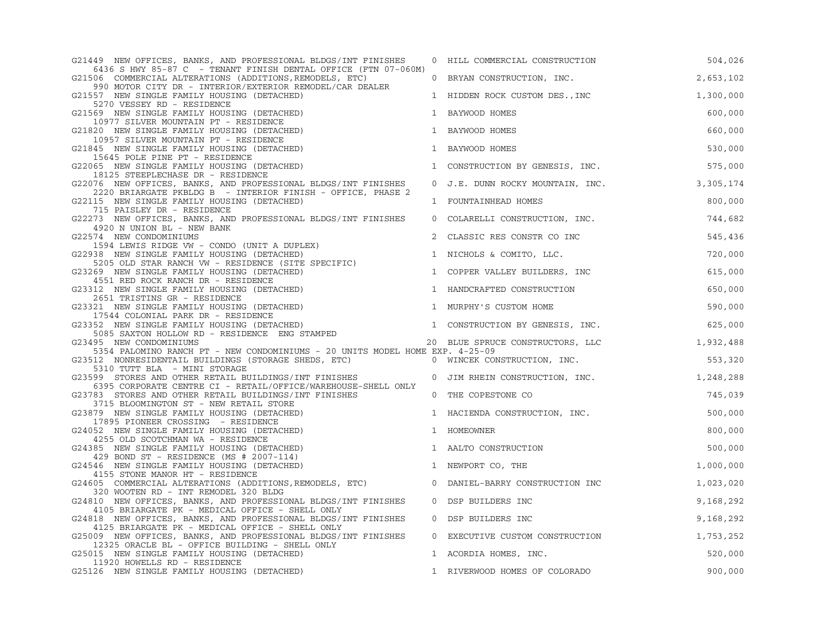| G21449 NEW OFFICES, BANKS, AND PROFESSIONAL BLDGS/INT FINISHES                                                                                                                | $\mathbf{0}$   | HILL COMMERCIAL CONSTRUCTION               | 504,026   |
|-------------------------------------------------------------------------------------------------------------------------------------------------------------------------------|----------------|--------------------------------------------|-----------|
| 6436 S HWY 85-87 C - TENANT FINISH DENTAL OFFICE (FTN 07-060M)<br>G21506 COMMERCIAL ALTERATIONS (ADDITIONS, REMODELS, ETC)                                                    |                | 0 BRYAN CONSTRUCTION, INC.                 | 2,653,102 |
| 990 MOTOR CITY DR - INTERIOR/EXTERIOR REMODEL/CAR DEALER<br>G21557 NEW SINGLE FAMILY HOUSING (DETACHED)<br>5270 VESSEY RD - RESIDENCE                                         |                | 1 HIDDEN ROCK CUSTOM DES., INC             | 1,300,000 |
| G21569 NEW SINGLE FAMILY HOUSING (DETACHED)<br>10977 SILVER MOUNTAIN PT - RESIDENCE                                                                                           |                | 1 BAYWOOD HOMES                            | 600,000   |
| G21820 NEW SINGLE FAMILY HOUSING (DETACHED)<br>10957 SILVER MOUNTAIN PT - RESIDENCE                                                                                           | $\mathbf{1}$   | BAYWOOD HOMES                              | 660,000   |
| G21845 NEW SINGLE FAMILY HOUSING (DETACHED)<br>15645 POLE PINE PT - RESIDENCE                                                                                                 |                | 1 BAYWOOD HOMES                            | 530,000   |
| G22065 NEW SINGLE FAMILY HOUSING (DETACHED)                                                                                                                                   |                | 1 CONSTRUCTION BY GENESIS, INC.            | 575,000   |
| 18125 STEEPLECHASE DR - RESIDENCE<br>G22076 NEW OFFICES, BANKS, AND PROFESSIONAL BLDGS/INT FINISHES<br>2220 BRIARGATE PKBLDG B - INTERIOR FINISH - OFFICE, PHASE 2            |                | 0 J.E. DUNN ROCKY MOUNTAIN, INC.           | 3,305,174 |
| G22115 NEW SINGLE FAMILY HOUSING (DETACHED)                                                                                                                                   |                | 1 FOUNTAINHEAD HOMES                       | 800,000   |
| 715 PAISLEY DR - RESIDENCE<br>G22273 NEW OFFICES, BANKS, AND PROFESSIONAL BLDGS/INT FINISHES                                                                                  |                | 0 COLARELLI CONSTRUCTION, INC.             | 744,682   |
| 4920 N UNION BL - NEW BANK<br>G22574 NEW CONDOMINIUMS                                                                                                                         | 2              | CLASSIC RES CONSTR CO INC                  | 545,436   |
| 1594 LEWIS RIDGE VW - CONDO (UNIT A DUPLEX)<br>G22938 NEW SINGLE FAMILY HOUSING (DETACHED)                                                                                    |                | 1 NICHOLS & COMITO, LLC.                   | 720,000   |
| 5205 OLD STAR RANCH VW - RESIDENCE (SITE SPECIFIC)<br>G23269 NEW SINGLE FAMILY HOUSING (DETACHED)<br>4551 RED ROCK RANCH DR - RESIDENCE                                       | 1              | COPPER VALLEY BUILDERS, INC                | 615,000   |
| G23312 NEW SINGLE FAMILY HOUSING (DETACHED)                                                                                                                                   |                | 1 HANDCRAFTED CONSTRUCTION                 | 650,000   |
| 2651 TRISTINS GR - RESIDENCE<br>G23321 NEW SINGLE FAMILY HOUSING (DETACHED)                                                                                                   |                | 1 MURPHY'S CUSTOM HOME                     | 590,000   |
| 17544 COLONIAL PARK DR - RESIDENCE<br>52 NEW SINGLE FAMILY HOUSING (DETACHED)<br>5085 SAXTON HOLLOW RD - RESIDENCE ENG STAMPED<br>G23352 NEW SINGLE FAMILY HOUSING (DETACHED) |                | 1 CONSTRUCTION BY GENESIS, INC.            | 625,000   |
| G23495 NEW CONDOMINIUMS                                                                                                                                                       |                | 20 BLUE SPRUCE CONSTRUCTORS, LLC 1,932,488 |           |
| 5354 PALOMINO RANCH PT - NEW CONDOMINIUMS - 20 UNITS MODEL HOME EXP. 4-25-09                                                                                                  |                |                                            |           |
| G23512 NONRESIDENTAIL BUILDINGS (STORAGE SHEDS, ETC) 0 WINCEK CONSTRUCTION, INC.<br>5310 TUTT BLA - MINI STORAGE                                                              |                |                                            | 553,320   |
| G23599 STORES AND OTHER RETAIL BUILDINGS/INT FINISHES<br>6395 CORPORATE CENTRE CI - RETAIL/OFFICE/WAREHOUSE-SHELL ONLY                                                        |                | 0 JIM RHEIN CONSTRUCTION, INC.             | 1,248,288 |
| G23783 STORES AND OTHER RETAIL BUILDINGS/INT FINISHES<br>3715 BLOOMINGTON ST - NEW RETAIL STORE                                                                               | $\overline{0}$ | THE COPESTONE CO                           | 745,039   |
| G23879 NEW SINGLE FAMILY HOUSING (DETACHED)<br>17895 PIONEER CROSSING - RESIDENCE                                                                                             |                | 1 HACIENDA CONSTRUCTION, INC.              | 500,000   |
| G24052 NEW SINGLE FAMILY HOUSING (DETACHED)                                                                                                                                   |                | 1 HOMEOWNER                                | 800,000   |
| 4255 OLD SCOTCHMAN WA - RESIDENCE<br>G24385 NEW SINGLE FAMILY HOUSING (DETACHED)<br>429 BOND ST - RESIDENCE (MS # 2007-114)                                                   |                | 1 AALTO CONSTRUCTION                       | 500,000   |
| G24546 NEW SINGLE FAMILY HOUSING (DETACHED)<br>4155 STONE MANOR HT - RESIDENCE                                                                                                |                | 1 NEWPORT CO, THE                          | 1,000,000 |
| G24605 COMMERCIAL ALTERATIONS (ADDITIONS, REMODELS, ETC)                                                                                                                      |                | 0 DANIEL-BARRY CONSTRUCTION INC            | 1,023,020 |
| 320 WOOTEN RD - INT REMODEL 320 BLDG<br>G24810 NEW OFFICES, BANKS, AND PROFESSIONAL BLDGS/INT FINISHES<br>4105 BRIARGATE PK - MEDICAL OFFICE - SHELL ONLY                     |                | 0 DSP BUILDERS INC                         | 9,168,292 |
| G24818 NEW OFFICES, BANKS, AND PROFESSIONAL BLDGS/INT FINISHES<br>4125 BRIARGATE PK - MEDICAL OFFICE - SHELL ONLY                                                             |                | 0 DSP BUILDERS INC                         | 9,168,292 |
| G25009 NEW OFFICES, BANKS, AND PROFESSIONAL BLDGS/INT FINISHES                                                                                                                | $\mathbf 0$    | EXECUTIVE CUSTOM CONSTRUCTION              | 1,753,252 |
| 12325 ORACLE BL - OFFICE BUILDING - SHELL ONLY<br>G25015 NEW SINGLE FAMILY HOUSING (DETACHED)<br>11920 HOWELLS RD - RESIDENCE                                                 |                | 1 ACORDIA HOMES, INC.                      | 520,000   |
| G25126 NEW SINGLE FAMILY HOUSING (DETACHED)                                                                                                                                   |                | 1 RIVERWOOD HOMES OF COLORADO              | 900,000   |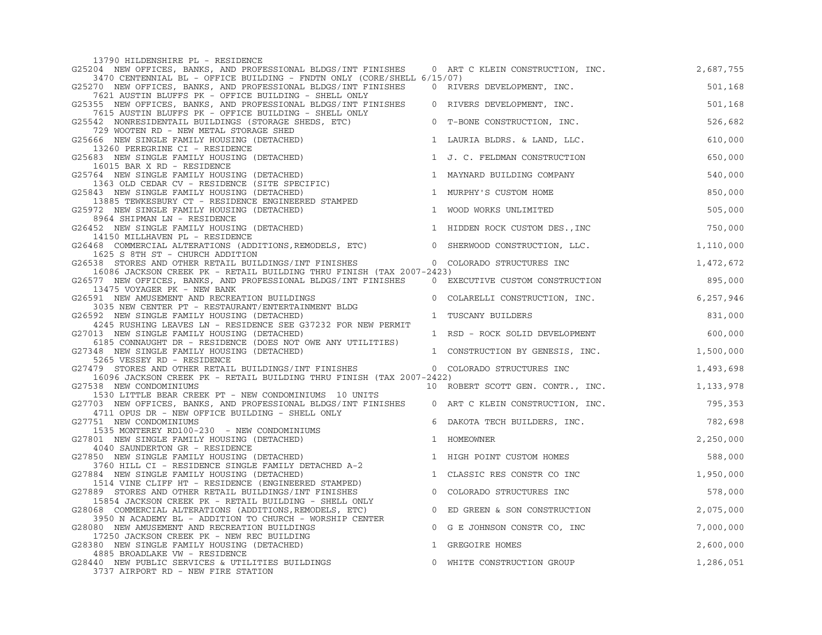| 13790 HILDENSHIRE PL - RESIDENCE                                                                                                                                                                      |                |                                     |           |
|-------------------------------------------------------------------------------------------------------------------------------------------------------------------------------------------------------|----------------|-------------------------------------|-----------|
| G25204 NEW OFFICES, BANKS, AND PROFESSIONAL BLDGS/INT FINISHES 0 ART C KLEIN CONSTRUCTION, INC.<br>3470 CENTENNIAL BL - OFFICE BUILDING - FNDTN ONLY (CORE/SHELL 6/15/07)                             |                |                                     | 2,687,755 |
| G25270 NEW OFFICES, BANKS, AND PROFESSIONAL BLDGS/INT FINISHES                                                                                                                                        |                | 0 RIVERS DEVELOPMENT, INC.          | 501,168   |
| 7621 AUSTIN BLUFFS PK - OFFICE BUILDING - SHELL ONLY<br>G25355 NEW OFFICES, BANKS, AND PROFESSIONAL BLDGS/INT FINISHES                                                                                |                | 0 RIVERS DEVELOPMENT, INC.          | 501,168   |
| 7615 AUSTIN BLUFFS PK - OFFICE BUILDING - SHELL ONLY<br>G25542 NONRESIDENTAIL BUILDINGS (STORAGE SHEDS, ETC)                                                                                          |                | 0 T-BONE CONSTRUCTION, INC.         | 526,682   |
| 729 WOOTEN RD - NEW METAL STORAGE SHED<br>G25666 NEW SINGLE FAMILY HOUSING (DETACHED)                                                                                                                 |                | 1 LAURIA BLDRS. & LAND, LLC.        | 610,000   |
| 13260 PEREGRINE CI - RESIDENCE<br>G25683 NEW SINGLE FAMILY HOUSING (DETACHED)                                                                                                                         |                | 1 J. C. FELDMAN CONSTRUCTION        | 650,000   |
| 16015 BAR X RD - RESIDENCE<br>16015 BAR X RD - RESIDENCE<br>764  NEW SINGLE FAMILY HOUSING (DETACHED)<br>1363 OLD CEDAR CV - RESIDENCE (SITE SPECIFIC)<br>G25764 NEW SINGLE FAMILY HOUSING (DETACHED) |                | 1 MAYNARD BUILDING COMPANY          | 540,000   |
| G25843 NEW SINGLE FAMILY HOUSING (DETACHED)                                                                                                                                                           |                | 1 MURPHY'S CUSTOM HOME              | 850,000   |
| 13885 TEWKESBURY CT - RESIDENCE ENGINEERED STAMPED<br>G25972 NEW SINGLE FAMILY HOUSING (DETACHED)                                                                                                     |                | 1 WOOD WORKS UNLIMITED              | 505,000   |
| 8964 SHIPMAN LN - RESIDENCE<br>G26452 NEW SINGLE FAMILY HOUSING (DETACHED)                                                                                                                            |                | 1 HIDDEN ROCK CUSTOM DES., INC      | 750,000   |
| 14150 MILLHAVEN PL - RESIDENCE<br>G26468 COMMERCIAL ALTERATIONS (ADDITIONS, REMODELS, ETC) 0 SHERWOOD CONSTRUCTION, LLC.                                                                              |                |                                     | 1,110,000 |
| 1625 S 8TH ST - CHURCH ADDITION<br>G26538 STORES AND OTHER RETAIL BUILDINGS/INT FINISHES                                                                                                              |                | 0 COLORADO STRUCTURES INC<br>-2423) | 1,472,672 |
| 16086 JACKSON CREEK PK - RETAIL BUILDING THRU FINISH (TAX 2007-2423)                                                                                                                                  |                |                                     |           |
| G26577 NEW OFFICES, BANKS, AND PROFESSIONAL BLDGS/INT FINISHES<br>13475 VOYAGER PK - NEW BANK                                                                                                         |                | 0 EXECUTIVE CUSTOM CONSTRUCTION     | 895,000   |
| G26591 NEW AMUSEMENT AND RECREATION BUILDINGS<br>3035 NEW CENTER PT - RESTAURANT/ENTERTAINMENT BLDG                                                                                                   | $\overline{0}$ | COLARELLI CONSTRUCTION, INC.        | 6,257,946 |
| G26592 NEW SINGLE FAMILY HOUSING (DETACHED)<br>4245 RUSHING LEAVES LN - RESIDENCE SEE G37232 FOR NEW PERMIT                                                                                           |                | 1 TUSCANY BUILDERS                  | 831,000   |
| G27013 NEW SINGLE FAMILY HOUSING (DETACHED)<br>6185 CONNAUGHT DR - RESIDENCE (DOES NOT OWE ANY UTILITIES)                                                                                             |                | 1 RSD - ROCK SOLID DEVELOPMENT      | 600,000   |
| G27348 NEW SINGLE FAMILY HOUSING (DETACHED)                                                                                                                                                           |                | 1 CONSTRUCTION BY GENESIS, INC.     | 1,500,000 |
| 5265 VESSEY RD - RESIDENCE<br>G27479 STORES AND OTHER RETAIL BUILDINGS/INT FINISHES                                                                                                                   |                | 0 COLORADO STRUCTURES INC           | 1,493,698 |
| 16096 JACKSON CREEK PK - RETAIL BUILDING THRU FINISH (TAX 2007-2422)<br>G27538 NEW CONDOMINIUMS                                                                                                       |                | 10 ROBERT SCOTT GEN. CONTR., INC.   | 1,133,978 |
| 1530 LITTLE BEAR CREEK PT - NEW CONDOMINIUMS 10 UNITS                                                                                                                                                 |                |                                     | 795,353   |
| G27703 NEW OFFICES, BANKS, AND PROFESSIONAL BLDGS/INT FINISHES 0 ART C KLEIN CONSTRUCTION, INC.<br>4711 OPUS DR - NEW OFFICE BUILDING - SHELL ONLY                                                    |                |                                     |           |
| G27751 NEW CONDOMINIUMS<br>1535 MONTEREY RD100-230 - NEW CONDOMINIUMS                                                                                                                                 | 6              | DAKOTA TECH BUILDERS, INC.          | 782,698   |
| G27801 NEW SINGLE FAMILY HOUSING (DETACHED)<br>4040 SAUNDERTON GR - RESIDENCE                                                                                                                         |                | 1 HOMEOWNER                         | 2,250,000 |
| G27850 NEW SINGLE FAMILY HOUSING (DETACHED)                                                                                                                                                           |                | 1 HIGH POINT CUSTOM HOMES           | 588,000   |
| 3760 HILL CI - RESIDENCE SINGLE FAMILY DETACHED A-2<br>G27884 NEW SINGLE FAMILY HOUSING (DETACHED)                                                                                                    |                | 1 CLASSIC RES CONSTR CO INC         | 1,950,000 |
| 1514 VINE CLIFF HT - RESIDENCE (ENGINEERED STAMPED)<br>G27889 STORES AND OTHER RETAIL BUILDINGS/INT FINISHES                                                                                          | $\overline{0}$ | COLORADO STRUCTURES INC             | 578,000   |
| 15854 JACKSON CREEK PK - RETAIL BUILDING - SHELL ONLY<br>G28068 COMMERCIAL ALTERATIONS (ADDITIONS, REMODELS, ETC)                                                                                     |                | 0 ED GREEN & SON CONSTRUCTION       | 2,075,000 |
| 3950 N ACADEMY BL - ADDITION TO CHURCH - WORSHIP CENTER<br>G28080 NEW AMUSEMENT AND RECREATION BUILDINGS                                                                                              |                | 0 G E JOHNSON CONSTR CO, INC        | 7,000,000 |
| 17250 JACKSON CREEK PK - NEW REC BUILDING<br>G28380 NEW SINGLE FAMILY HOUSING (DETACHED)                                                                                                              |                | 1 GREGOIRE HOMES                    | 2,600,000 |
| 4885 BROADLAKE VW - RESIDENCE<br>G28440 NEW PUBLIC SERVICES & UTILITIES BUILDINGS                                                                                                                     | $\mathbf{0}$   | WHITE CONSTRUCTION GROUP            | 1,286,051 |
| 3737 AIRPORT RD - NEW FIRE STATION                                                                                                                                                                    |                |                                     |           |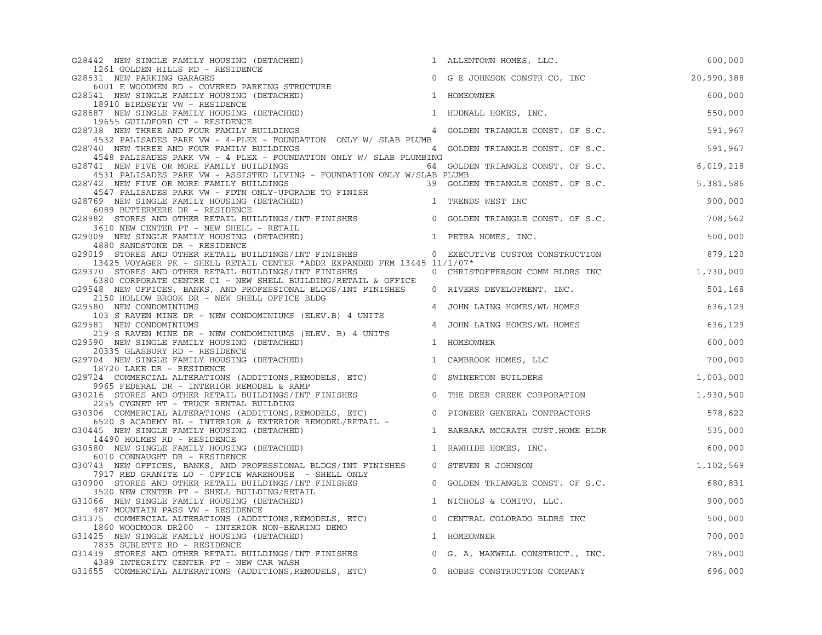| G28442 NEW SINGLE FAMILY HOUSING (DETACHED)                                                                               | 1 ALLENTOWN HOMES, LLC.                   | 600,000    |
|---------------------------------------------------------------------------------------------------------------------------|-------------------------------------------|------------|
| 1261 GOLDEN HILLS RD - RESIDENCE<br>G28531 NEW PARKING GARAGES                                                            | 0 G E JOHNSON CONSTR CO, INC              | 20,990,388 |
| 6001 E WOODMEN RD - COVERED PARKING STRUCTURE<br>141 NEW SINGLE EAMILY HOUSING 1-                                         |                                           |            |
| G28541 NEW SINGLE FAMILY HOUSING (DETACHED)                                                                               | 1 HOMEOWNER                               | 600,000    |
| 18910 BIRDSEYE VW - RESIDENCE<br>G28687 NEW SINGLE FAMILY HOUSING (DETACHED)                                              | 1 HUDNALL HOMES, INC.                     | 550,000    |
| 19655 GUILDFORD CT - RESIDENCE                                                                                            |                                           |            |
| G28738 NEW THREE AND FOUR FAMILY BUILDINGS<br>G28738 NEW THREE AND FOUR FAMILY BUILDINGS 4 GOLDEN TRIANGLE CONST. OF S.C. |                                           | 591,967    |
| 4532 PALISADES PARK VW - 4-PLEX - FOUNDATION ONLY W/ SLAB PLUMB<br>G28740 NEW THREE AND FOUR FAMILY BUILDINGS             | 4 GOLDEN TRIANGLE CONST. OF S.C.          | 591,967    |
| 4548 PALISADES PARK VW - 4 PLEX - FOUNDATION ONLY W/ SLAB PLUMBING                                                        |                                           |            |
| G28741 NEW FIVE OR MORE FAMILY BUILDINGS                                                                                  | 64 GOLDEN TRIANGLE CONST. OF S.C.         | 6,019,218  |
| 4531 PALISADES PARK VW - ASSISTED LIVING - FOUNDATION ONLY W/SLAB PLUMB<br>G28742 NEW FIVE OR MORE FAMILY BUILDINGS       | 39 GOLDEN TRIANGLE CONST. OF S.C.         | 5,381,586  |
| 4547 PALISADES PARK VW - FDTN ONLY-UPGRADE TO FINISH                                                                      |                                           |            |
| G28769 NEW SINGLE FAMILY HOUSING (DETACHED)                                                                               | 1 TRENDS WEST INC                         | 900,000    |
| 6089 BUTTERMERE DR - RESIDENCE<br>G28982 STORES AND OTHER RETAIL BUILDINGS/INT FINISHES 0 GOLDEN TRIANGLE CONST. OF S.C.  |                                           | 708,562    |
| 3610 NEW CENTER PT - NEW SHELL - RETAIL                                                                                   |                                           |            |
| G29009 NEW SINGLE FAMILY HOUSING (DETACHED)                                                                               | 1 PETRA HOMES, INC.                       | 500,000    |
| 4880 SANDSTONE DR - RESIDENCE<br>G29019 STORES AND OTHER RETAIL BUILDINGS/INT FINISHES                                    |                                           |            |
| 13425 VOYAGER PK - SHELL RETAIL CENTER *ADDR EXPANDED FRM 13445 11/1/07*                                                  | 0 EXECUTIVE CUSTOM CONSTRUCTION           | 879,120    |
| G29370 STORES AND OTHER RETAIL BUILDINGS/INT FINISHES                                                                     | 0 CHRISTOFFERSON COMM BLDRS INC 1,730,000 |            |
| 6380 CORPORATE CENTRE CI - NEW SHELL BUILDING/RETAIL & OFFICE                                                             |                                           |            |
| G29548 NEW OFFICES, BANKS, AND PROFESSIONAL BLDGS/INT FINISHES<br>2150 HOLLOW BROOK DR - NEW SHELL OFFICE BLDG            | 0 RIVERS DEVELOPMENT, INC.                | 501,168    |
| G29580 NEW CONDOMINIUMS                                                                                                   | 4 JOHN LAING HOMES/WL HOMES               | 636,129    |
| 103 S RAVEN MINE DR - NEW CONDOMINIUMS (ELEV.B) 4 UNITS                                                                   |                                           |            |
| G29581 NEW CONDOMINIUMS<br>219 S RAVEN MINE DR - NEW CONDOMINIUMS (ELEV. B) 4 UNITS                                       | 4 JOHN LAING HOMES/WL HOMES               | 636,129    |
| G29590 NEW SINGLE FAMILY HOUSING (DETACHED)                                                                               | 1 HOMEOWNER                               | 600,000    |
| 20335 GLASBURY RD - RESIDENCE                                                                                             |                                           |            |
| G29704 NEW SINGLE FAMILY HOUSING (DETACHED)<br>18720 LAKE DR - RESIDENCE                                                  | 1 CAMBROOK HOMES, LLC                     | 700,000    |
| G29724 COMMERCIAL ALTERATIONS (ADDITIONS, REMODELS, ETC)                                                                  | 0 SWINERTON BUILDERS                      | 1,003,000  |
| 9965 FEDERAL DR - INTERIOR REMODEL & RAMP                                                                                 |                                           |            |
| G30216 STORES AND OTHER RETAIL BUILDINGS/INT FINISHES<br>2255 CYGNET HT - TRUCK RENTAL BUILDING                           | 0 THE DEER CREEK CORPORATION              | 1,930,500  |
| G30306 COMMERCIAL ALTERATIONS (ADDITIONS, REMODELS, ETC)                                                                  | 0 PIONEER GENERAL CONTRACTORS             | 578,622    |
| 6520 S ACADEMY BL - INTERIOR & EXTERIOR REMODEL/RETAIL -                                                                  |                                           |            |
| G30445 NEW SINGLE FAMILY HOUSING (DETACHED)<br>14490 HOLMES RD - RESIDENCE                                                | 1 BARBARA MCGRATH CUST.HOME BLDR          | 535,000    |
| G30580 NEW SINGLE FAMILY HOUSING (DETACHED)                                                                               | 1 RAWHIDE HOMES, INC.                     | 600,000    |
| 6010 CONNAUGHT DR - RESIDENCE                                                                                             |                                           |            |
| G30743 NEW OFFICES, BANKS, AND PROFESSIONAL BLDGS/INT FINISHES<br>7917 RED GRANITE LO - OFFICE WAREHOUSE - SHELL ONLY     | 0 STEVEN R JOHNSON                        | 1,102,569  |
| G30900 STORES AND OTHER RETAIL BUILDINGS/INT FINISHES                                                                     | 0 GOLDEN TRIANGLE CONST. OF S.C.          | 680,831    |
| 3520 NEW CENTER PT - SHELL BUILDING/RETAIL                                                                                |                                           |            |
| G31066 NEW SINGLE FAMILY HOUSING (DETACHED)                                                                               | 1 NICHOLS & COMITO, LLC.                  | 900,000    |
| 487 MOUNTAIN PASS VW - RESIDENCE<br>G31375 COMMERCIAL ALTERATIONS (ADDITIONS, REMODELS, ETC)                              | 0 CENTRAL COLORADO BLDRS INC              | 500,000    |
| 1860 WOODMOOR DR200 - INTERIOR NON-BEARING DEMO                                                                           |                                           |            |
| G31425 NEW SINGLE FAMILY HOUSING (DETACHED)                                                                               | 1 HOMEOWNER                               | 700,000    |
| 7835 SUBLETTE RD - RESIDENCE<br>G31439 STORES AND OTHER RETAIL BUILDINGS/INT FINISHES 0 G. A. MAXWELL CONSTRUCT., INC.    |                                           | 785,000    |
| 4389 INTEGRITY CENTER PT - NEW CAR WASH                                                                                   |                                           |            |
| G31655 COMMERCIAL ALTERATIONS (ADDITIONS, REMODELS, ETC)                                                                  | 0 HOBBS CONSTRUCTION COMPANY              | 696,000    |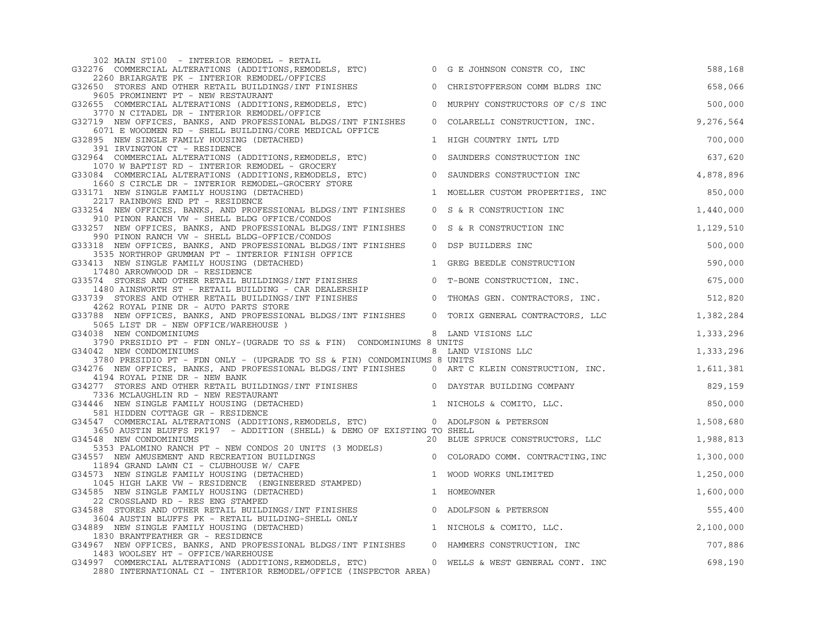| 302 MAIN ST100 - INTERIOR REMODEL - RETAIL                                                                                                                      |                |                                          |           |
|-----------------------------------------------------------------------------------------------------------------------------------------------------------------|----------------|------------------------------------------|-----------|
| G32276 COMMERCIAL ALTERATIONS (ADDITIONS, REMODELS, ETC)<br>2260 BRIARGATE PK - INTERIOR REMODEL/OFFICES                                                        |                | 0 G E JOHNSON CONSTR CO, INC             | 588,168   |
| G32650 STORES AND OTHER RETAIL BUILDINGS/INT FINISHES                                                                                                           |                | 0 CHRISTOFFERSON COMM BLDRS INC          | 658,066   |
| 9605 PROMINENT PT - NEW RESTAURANT<br>G32655 COMMERCIAL ALTERATIONS (ADDITIONS, REMODELS, ETC)                                                                  |                | 0 MURPHY CONSTRUCTORS OF C/S INC         | 500,000   |
| 3770 N CITADEL DR - INTERIOR REMODEL/OFFICE                                                                                                                     |                |                                          |           |
| G32719 NEW OFFICES, BANKS, AND PROFESSIONAL BLDGS/INT FINISHES<br>6071 E WOODMEN RD - SHELL BUILDING/CORE MEDICAL OFFICE                                        |                | 0 COLARELLI CONSTRUCTION, INC. 9,276,564 |           |
| G32895 NEW SINGLE FAMILY HOUSING (DETACHED)<br>391 IRVINGTON CT - RESIDENCE                                                                                     |                | 1 HIGH COUNTRY INTL LTD                  | 700,000   |
| G32964 COMMERCIAL ALTERATIONS (ADDITIONS, REMODELS, ETC)                                                                                                        |                | 0 SAUNDERS CONSTRUCTION INC              | 637,620   |
| 1070 W BAPTIST RD - INTERIOR REMODEL - GROCERY<br>G33084 COMMERCIAL ALTERATIONS (ADDITIONS, REMODELS, ETC)<br>1660 S CIRCLE DR - INTERIOR REMODEL-GROCERY STORE |                | 0 SAUNDERS CONSTRUCTION INC              | 4,878,896 |
| G33171 NEW SINGLE FAMILY HOUSING (DETACHED)                                                                                                                     |                | 1 MOELLER CUSTOM PROPERTIES, INC         | 850,000   |
| 2217 RAINBOWS END PT - RESIDENCE                                                                                                                                |                |                                          |           |
| G33254 NEW OFFICES, BANKS, AND PROFESSIONAL BLDGS/INT FINISHES<br>910 PINON RANCH VW - SHELL BLDG OFFICE/CONDOS                                                 |                | 0 S & R CONSTRUCTION INC                 | 1,440,000 |
| G33257 NEW OFFICES, BANKS, AND PROFESSIONAL BLDGS/INT FINISHES<br>990 PINON RANCH VW - SHELL BLDG-OFFICE/CONDOS                                                 |                | 0 S & R CONSTRUCTION INC                 | 1,129,510 |
| G33318 NEW OFFICES, BANKS, AND PROFESSIONAL BLDGS/INT FINISHES                                                                                                  | $\overline{0}$ | DSP BUILDERS INC                         | 500,000   |
| 3535 NORTHROP GRUMMAN PT - INTERIOR FINISH OFFICE<br>G33413 NEW SINGLE FAMILY HOUSING (DETACHED)                                                                |                | 1 GREG BEEDLE CONSTRUCTION               | 590,000   |
| 17480 ARROWWOOD DR - RESIDENCE                                                                                                                                  |                |                                          |           |
| G33574 STORES AND OTHER RETAIL BUILDINGS/INT FINISHES<br>1480 AINSWORTH ST - RETAIL BUILDING - CAR DEALERSHIP                                                   |                | 0 T-BONE CONSTRUCTION, INC.              | 675,000   |
| G33739 STORES AND OTHER RETAIL BUILDINGS/INT FINISHES<br>4262 ROYAL PINE DR - AUTO PARTS STORE                                                                  |                | 0 THOMAS GEN. CONTRACTORS, INC.          | 512,820   |
| G33788 NEW OFFICES, BANKS, AND PROFESSIONAL BLDGS/INT FINISHES<br>5065 LIST DR - NEW OFFICE/WAREHOUSE )                                                         |                | 0 TORIX GENERAL CONTRACTORS, LLC         | 1,382,284 |
| G34038 NEW CONDOMINIUMS                                                                                                                                         |                | 8 LAND VISIONS LLC                       | 1,333,296 |
| 3790 PRESIDIO PT - FDN ONLY- (UGRADE TO SS & FIN) CONDOMINIUMS 8 UNITS                                                                                          |                |                                          |           |
| G34042 NEW CONDOMINIUMS<br>3780 PRESIDIO PT - FDN ONLY - (UPGRADE TO SS & FIN) CONDOMINIUMS 8 UNITS                                                             |                | 8 LAND VISIONS LLC                       | 1,333,296 |
| G34276 NEW OFFICES, BANKS, AND PROFESSIONAL BLDGS/INT FINISHES 0 ART C KLEIN CONSTRUCTION, INC.<br>4194 ROYAL PINE DR - NEW BANK                                |                |                                          | 1,611,381 |
| G34277 STORES AND OTHER RETAIL BUILDINGS/INT FINISHES $\qquad \qquad 0$ DAYSTAR BUILDING COMPANY<br>7336 MCLAUGHLIN RD - NEW RESTAURANT                         |                |                                          | 829,159   |
| G34446 NEW SINGLE FAMILY HOUSING (DETACHED)<br>581 HIDDEN COTTAGE GR - RESIDENCE                                                                                |                | 1 NICHOLS & COMITO, LLC.                 | 850,000   |
| G34547 COMMERCIAL ALTERATIONS (ADDITIONS, REMODELS, ETC) 0 ADOLFSON & PETERSON                                                                                  |                |                                          | 1,508,680 |
| 3650 AUSTIN BLUFFS PK197 - ADDITION (SHELL) & DEMO OF EXISTING TO SHELL<br>G34548 NEW CONDOMINIUMS                                                              |                | 20 BLUE SPRUCE CONSTRUCTORS, LLC         | 1,988,813 |
|                                                                                                                                                                 |                |                                          |           |
| G34557 NEW AMUSEMENT AND RECREATION BUILDINGS                                                                                                                   |                |                                          | 1,300,000 |
| G34573 NEW SINGLE FAMILY HOUSING (DETACHED)<br>1045 HIGH LAKE VW - RESIDENCE (ENGINEERED STAMPED)                                                               |                | 1 WOOD WORKS UNLIMITED                   | 1,250,000 |
| G34585 NEW SINGLE FAMILY HOUSING (DETACHED)                                                                                                                     |                | 1 HOMEOWNER                              | 1,600,000 |
| 22 CROSSLAND RD - RES ENG STAMPED<br>G34588 STORES AND OTHER RETAIL BUILDINGS/INT FINISHES                                                                      |                | 0 ADOLFSON & PETERSON                    | 555,400   |
| 3604 AUSTIN BLUFFS PK - RETAIL BUILDING-SHELL ONLY<br>G34889 NEW SINGLE FAMILY HOUSING (DETACHED)                                                               |                | 1 NICHOLS & COMITO, LLC.                 | 2,100,000 |
| 1830 BRANTFEATHER GR - RESIDENCE                                                                                                                                |                |                                          |           |
| G34967 NEW OFFICES, BANKS, AND PROFESSIONAL BLDGS/INT FINISHES 0 HAMMERS CONSTRUCTION, INC<br>1483 WOOLSEY HT - OFFICE/WAREHOUSE                                |                |                                          | 707,886   |
| G34997 COMMERCIAL ALTERATIONS (ADDITIONS, REMODELS, ETC)<br>2880 INTERNATIONAL CI - INTERIOR REMODEL/OFFICE (INSPECTOR AREA)                                    |                | 0 WELLS & WEST GENERAL CONT. INC         | 698,190   |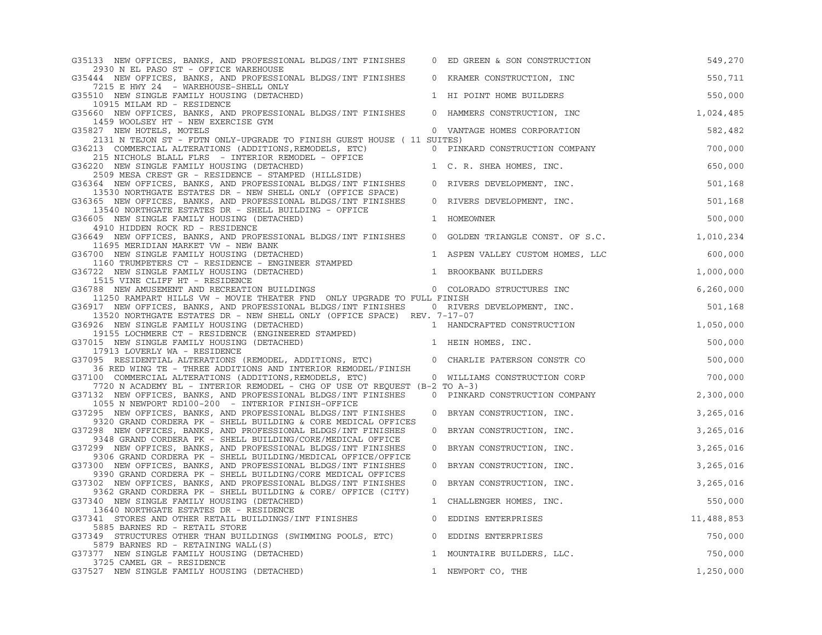|                                                                                                                              | ED GREEN & SON CONSTRUCTION                                                                                                                                                                                                                | 549,270                                                                                                                                                                                                                                                                                                                                                                                                                                                                                                                                                                                                                                                                                                                                                                                                                                                                                                                                                                                                                                                                                                                                             |
|------------------------------------------------------------------------------------------------------------------------------|--------------------------------------------------------------------------------------------------------------------------------------------------------------------------------------------------------------------------------------------|-----------------------------------------------------------------------------------------------------------------------------------------------------------------------------------------------------------------------------------------------------------------------------------------------------------------------------------------------------------------------------------------------------------------------------------------------------------------------------------------------------------------------------------------------------------------------------------------------------------------------------------------------------------------------------------------------------------------------------------------------------------------------------------------------------------------------------------------------------------------------------------------------------------------------------------------------------------------------------------------------------------------------------------------------------------------------------------------------------------------------------------------------------|
|                                                                                                                              |                                                                                                                                                                                                                                            | 550,711                                                                                                                                                                                                                                                                                                                                                                                                                                                                                                                                                                                                                                                                                                                                                                                                                                                                                                                                                                                                                                                                                                                                             |
|                                                                                                                              |                                                                                                                                                                                                                                            | 550,000                                                                                                                                                                                                                                                                                                                                                                                                                                                                                                                                                                                                                                                                                                                                                                                                                                                                                                                                                                                                                                                                                                                                             |
|                                                                                                                              |                                                                                                                                                                                                                                            |                                                                                                                                                                                                                                                                                                                                                                                                                                                                                                                                                                                                                                                                                                                                                                                                                                                                                                                                                                                                                                                                                                                                                     |
|                                                                                                                              |                                                                                                                                                                                                                                            | 1,024,485                                                                                                                                                                                                                                                                                                                                                                                                                                                                                                                                                                                                                                                                                                                                                                                                                                                                                                                                                                                                                                                                                                                                           |
|                                                                                                                              |                                                                                                                                                                                                                                            | 582,482                                                                                                                                                                                                                                                                                                                                                                                                                                                                                                                                                                                                                                                                                                                                                                                                                                                                                                                                                                                                                                                                                                                                             |
|                                                                                                                              |                                                                                                                                                                                                                                            |                                                                                                                                                                                                                                                                                                                                                                                                                                                                                                                                                                                                                                                                                                                                                                                                                                                                                                                                                                                                                                                                                                                                                     |
|                                                                                                                              |                                                                                                                                                                                                                                            | 700,000                                                                                                                                                                                                                                                                                                                                                                                                                                                                                                                                                                                                                                                                                                                                                                                                                                                                                                                                                                                                                                                                                                                                             |
|                                                                                                                              |                                                                                                                                                                                                                                            | 650,000                                                                                                                                                                                                                                                                                                                                                                                                                                                                                                                                                                                                                                                                                                                                                                                                                                                                                                                                                                                                                                                                                                                                             |
|                                                                                                                              |                                                                                                                                                                                                                                            | 501,168                                                                                                                                                                                                                                                                                                                                                                                                                                                                                                                                                                                                                                                                                                                                                                                                                                                                                                                                                                                                                                                                                                                                             |
|                                                                                                                              |                                                                                                                                                                                                                                            |                                                                                                                                                                                                                                                                                                                                                                                                                                                                                                                                                                                                                                                                                                                                                                                                                                                                                                                                                                                                                                                                                                                                                     |
|                                                                                                                              |                                                                                                                                                                                                                                            | 501,168                                                                                                                                                                                                                                                                                                                                                                                                                                                                                                                                                                                                                                                                                                                                                                                                                                                                                                                                                                                                                                                                                                                                             |
|                                                                                                                              |                                                                                                                                                                                                                                            | 500,000                                                                                                                                                                                                                                                                                                                                                                                                                                                                                                                                                                                                                                                                                                                                                                                                                                                                                                                                                                                                                                                                                                                                             |
|                                                                                                                              |                                                                                                                                                                                                                                            | 1,010,234                                                                                                                                                                                                                                                                                                                                                                                                                                                                                                                                                                                                                                                                                                                                                                                                                                                                                                                                                                                                                                                                                                                                           |
|                                                                                                                              |                                                                                                                                                                                                                                            |                                                                                                                                                                                                                                                                                                                                                                                                                                                                                                                                                                                                                                                                                                                                                                                                                                                                                                                                                                                                                                                                                                                                                     |
|                                                                                                                              |                                                                                                                                                                                                                                            | 600,000                                                                                                                                                                                                                                                                                                                                                                                                                                                                                                                                                                                                                                                                                                                                                                                                                                                                                                                                                                                                                                                                                                                                             |
|                                                                                                                              |                                                                                                                                                                                                                                            | 1,000,000                                                                                                                                                                                                                                                                                                                                                                                                                                                                                                                                                                                                                                                                                                                                                                                                                                                                                                                                                                                                                                                                                                                                           |
|                                                                                                                              |                                                                                                                                                                                                                                            |                                                                                                                                                                                                                                                                                                                                                                                                                                                                                                                                                                                                                                                                                                                                                                                                                                                                                                                                                                                                                                                                                                                                                     |
|                                                                                                                              |                                                                                                                                                                                                                                            | 6, 260, 000                                                                                                                                                                                                                                                                                                                                                                                                                                                                                                                                                                                                                                                                                                                                                                                                                                                                                                                                                                                                                                                                                                                                         |
|                                                                                                                              |                                                                                                                                                                                                                                            | 501,168                                                                                                                                                                                                                                                                                                                                                                                                                                                                                                                                                                                                                                                                                                                                                                                                                                                                                                                                                                                                                                                                                                                                             |
|                                                                                                                              |                                                                                                                                                                                                                                            |                                                                                                                                                                                                                                                                                                                                                                                                                                                                                                                                                                                                                                                                                                                                                                                                                                                                                                                                                                                                                                                                                                                                                     |
|                                                                                                                              |                                                                                                                                                                                                                                            | 1,050,000                                                                                                                                                                                                                                                                                                                                                                                                                                                                                                                                                                                                                                                                                                                                                                                                                                                                                                                                                                                                                                                                                                                                           |
|                                                                                                                              |                                                                                                                                                                                                                                            | 500,000                                                                                                                                                                                                                                                                                                                                                                                                                                                                                                                                                                                                                                                                                                                                                                                                                                                                                                                                                                                                                                                                                                                                             |
|                                                                                                                              |                                                                                                                                                                                                                                            |                                                                                                                                                                                                                                                                                                                                                                                                                                                                                                                                                                                                                                                                                                                                                                                                                                                                                                                                                                                                                                                                                                                                                     |
|                                                                                                                              |                                                                                                                                                                                                                                            | 500,000                                                                                                                                                                                                                                                                                                                                                                                                                                                                                                                                                                                                                                                                                                                                                                                                                                                                                                                                                                                                                                                                                                                                             |
|                                                                                                                              |                                                                                                                                                                                                                                            | 700,000                                                                                                                                                                                                                                                                                                                                                                                                                                                                                                                                                                                                                                                                                                                                                                                                                                                                                                                                                                                                                                                                                                                                             |
|                                                                                                                              |                                                                                                                                                                                                                                            |                                                                                                                                                                                                                                                                                                                                                                                                                                                                                                                                                                                                                                                                                                                                                                                                                                                                                                                                                                                                                                                                                                                                                     |
|                                                                                                                              |                                                                                                                                                                                                                                            | 2,300,000                                                                                                                                                                                                                                                                                                                                                                                                                                                                                                                                                                                                                                                                                                                                                                                                                                                                                                                                                                                                                                                                                                                                           |
| $\circ$                                                                                                                      | BRYAN CONSTRUCTION, INC.                                                                                                                                                                                                                   | 3,265,016                                                                                                                                                                                                                                                                                                                                                                                                                                                                                                                                                                                                                                                                                                                                                                                                                                                                                                                                                                                                                                                                                                                                           |
|                                                                                                                              |                                                                                                                                                                                                                                            |                                                                                                                                                                                                                                                                                                                                                                                                                                                                                                                                                                                                                                                                                                                                                                                                                                                                                                                                                                                                                                                                                                                                                     |
|                                                                                                                              |                                                                                                                                                                                                                                            | 3,265,016                                                                                                                                                                                                                                                                                                                                                                                                                                                                                                                                                                                                                                                                                                                                                                                                                                                                                                                                                                                                                                                                                                                                           |
| $\overline{0}$                                                                                                               | BRYAN CONSTRUCTION, INC.                                                                                                                                                                                                                   | 3,265,016                                                                                                                                                                                                                                                                                                                                                                                                                                                                                                                                                                                                                                                                                                                                                                                                                                                                                                                                                                                                                                                                                                                                           |
|                                                                                                                              |                                                                                                                                                                                                                                            | 3,265,016                                                                                                                                                                                                                                                                                                                                                                                                                                                                                                                                                                                                                                                                                                                                                                                                                                                                                                                                                                                                                                                                                                                                           |
|                                                                                                                              |                                                                                                                                                                                                                                            |                                                                                                                                                                                                                                                                                                                                                                                                                                                                                                                                                                                                                                                                                                                                                                                                                                                                                                                                                                                                                                                                                                                                                     |
|                                                                                                                              |                                                                                                                                                                                                                                            | 3,265,016                                                                                                                                                                                                                                                                                                                                                                                                                                                                                                                                                                                                                                                                                                                                                                                                                                                                                                                                                                                                                                                                                                                                           |
|                                                                                                                              |                                                                                                                                                                                                                                            | 550,000                                                                                                                                                                                                                                                                                                                                                                                                                                                                                                                                                                                                                                                                                                                                                                                                                                                                                                                                                                                                                                                                                                                                             |
|                                                                                                                              |                                                                                                                                                                                                                                            |                                                                                                                                                                                                                                                                                                                                                                                                                                                                                                                                                                                                                                                                                                                                                                                                                                                                                                                                                                                                                                                                                                                                                     |
|                                                                                                                              |                                                                                                                                                                                                                                            | 11,488,853                                                                                                                                                                                                                                                                                                                                                                                                                                                                                                                                                                                                                                                                                                                                                                                                                                                                                                                                                                                                                                                                                                                                          |
| $\overline{0}$                                                                                                               | EDDINS ENTERPRISES                                                                                                                                                                                                                         | 750,000                                                                                                                                                                                                                                                                                                                                                                                                                                                                                                                                                                                                                                                                                                                                                                                                                                                                                                                                                                                                                                                                                                                                             |
|                                                                                                                              |                                                                                                                                                                                                                                            |                                                                                                                                                                                                                                                                                                                                                                                                                                                                                                                                                                                                                                                                                                                                                                                                                                                                                                                                                                                                                                                                                                                                                     |
|                                                                                                                              |                                                                                                                                                                                                                                            | 750,000                                                                                                                                                                                                                                                                                                                                                                                                                                                                                                                                                                                                                                                                                                                                                                                                                                                                                                                                                                                                                                                                                                                                             |
|                                                                                                                              |                                                                                                                                                                                                                                            | 1,250,000                                                                                                                                                                                                                                                                                                                                                                                                                                                                                                                                                                                                                                                                                                                                                                                                                                                                                                                                                                                                                                                                                                                                           |
| 9306 GRAND CORDERA PK - SHELL BUILDING/MEDICAL OFFICE/OFFICE<br>9362 GRAND CORDERA PK - SHELL BUILDING & CORE/ OFFICE (CITY) | $\mathbf 0$<br>G36788 NEW AMUSEMENT AND RECREATION BUILDINGS<br>MPED)<br>36 RED WING TE - THREE ADDITIONS AND INTERIOR REMODEL/FINISH<br>9320 GRAND CORDERA PK - SHELL BUILDING & CORE MEDICAL OFFICES<br>$\overline{0}$<br>$\overline{0}$ | 0 KRAMER CONSTRUCTION, INC<br>1 HI POINT HOME BUILDERS<br>0 HAMMERS CONSTRUCTION, INC<br>0 VANTAGE HOMES CORPORATION<br>2131 N TEJON ST - FDTN ONLY-UPGRADE TO FINISH GUEST HOUSE (11 SUITES)<br>0 PINKARD CONSTRUCTION COMPANY<br>1 C. R. SHEA HOMES, INC.<br>0 RIVERS DEVELOPMENT, INC.<br>RIVERS DEVELOPMENT, INC.<br>1 HOMEOWNER<br>0 GOLDEN TRIANGLE CONST. OF S.C.<br>1 ASPEN VALLEY CUSTOM HOMES, LLC<br>1 BROOKBANK BUILDERS<br>0 COLORADO STRUCTURES INC<br>11250 RAMPART HILLS VW - MOVIE THEATER FND ONLY UPGRADE TO FULL FINISH<br>G36917 NEW OFFICES, BANKS, AND PROFESSIONAL BLDGS/INT FINISHES 0 RIVERS DEVELOPMENT, INC.<br>13520 NORTHGATE ESTATES DR - NEW SHELL ONLY (OFFICE SPACE) REV. 7-17-07<br>1 HANDCRAFTED CONSTRUCTION<br>1 HEIN HOMES, INC.<br>0 CHARLIE PATERSON CONSTR CO<br>0 WILLIAMS CONSTRUCTION CORP<br>7720 N ACADEMY BL - INTERIOR REMODEL - CHG OF USE OT REQUEST (B-2 TO A-3)<br>0 PINKARD CONSTRUCTION COMPANY<br>BRYAN CONSTRUCTION, INC.<br>BRYAN CONSTRUCTION, INC.<br>0 BRYAN CONSTRUCTION, INC.<br>1 CHALLENGER HOMES, INC.<br>0 EDDINS ENTERPRISES<br>1 MOUNTAIRE BUILDERS, LLC.<br>1 NEWPORT CO, THE |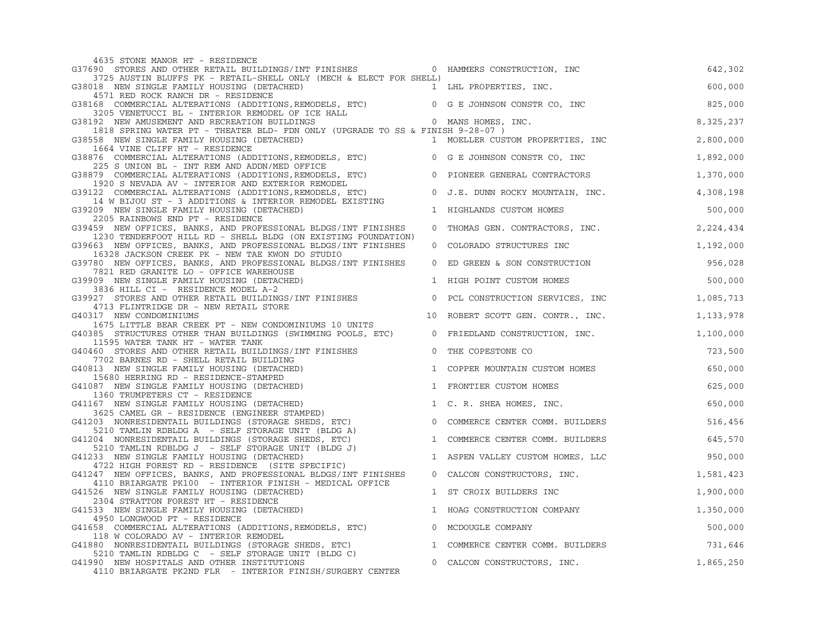| 4635 STONE MANOR HT - RESIDENCE                                                                                                                                                                                                                        |                |                                   |           |
|--------------------------------------------------------------------------------------------------------------------------------------------------------------------------------------------------------------------------------------------------------|----------------|-----------------------------------|-----------|
| G37690 STORES AND OTHER RETAIL BUILDINGS/INT FINISHES 600 HAMMERS CONSTRUCTION, INC                                                                                                                                                                    |                |                                   | 642,302   |
| 3725 AUSTIN BLUFFS PK - RETAIL-SHELL ONLY (MECH & ELECT FOR SHELL)<br>G38018 NEW SINGLE FAMILY HOUSING (DETACHED)                                                                                                                                      |                | 1 LHL PROPERTIES, INC.            | 600,000   |
| 4571 RED ROCK RANCH DR - RESIDENCE                                                                                                                                                                                                                     |                |                                   |           |
| G38168 COMMERCIAL ALTERATIONS (ADDITIONS, REMODELS, ETC) 0 G E JOHNSON CONSTR CO, INC<br>3205 VENETUCCI BL - INTERIOR REMODEL OF ICE HALL                                                                                                              |                |                                   | 825,000   |
| G38192 NEW AMUSEMENT AND RECREATION BUILDINGS<br>1818 SPRING WATER PT - THEATER BLD- FDN ONLY (UPGRADE TO SS & FINISH 9-28-07)                                                                                                                         |                | 0 MANS HOMES, INC.                | 8,325,237 |
| G38558 NEW SINGLE FAMILY HOUSING (DETACHED)<br>1664 VINE CLIFF HT - RESIDENCE                                                                                                                                                                          |                | 1 MOELLER CUSTOM PROPERTIES, INC  | 2,800,000 |
| G38876 COMMERCIAL ALTERATIONS (ADDITIONS, REMODELS, ETC)                                                                                                                                                                                               |                | 0 G E JOHNSON CONSTR CO, INC      | 1,892,000 |
| 225 S UNION BL - INT REM AND ADDN/MED OFFICE<br>G38879 COMMERCIAL ALTERATIONS (ADDITIONS, REMODELS, ETC)                                                                                                                                               |                | 0 PIONEER GENERAL CONTRACTORS     | 1,370,000 |
| 1920 S NEVADA AV - INTERIOR AND EXTERIOR REMODEL<br>COMMERCIAL ALTERATIONS (ADDITIONS, REMODELS, ETC)<br>14 W BIJOU ST - 3 ADDITIONS & INTERIOR REMODELS, ETC) 0 J.E. DUNN ROCKY MOUNTAIN, INC.                                                        |                |                                   | 4,308,198 |
| G39209 NEW SINGLE FAMILY HOUSING (DETACHED)                                                                                                                                                                                                            |                | 1 HIGHLANDS CUSTOM HOMES          | 500,000   |
| 2205 RAINBOWS END PT - RESIDENCE                                                                                                                                                                                                                       |                |                                   |           |
| G39459 NEW OFFICES, BANKS, AND PROFESSIONAL BLDGS/INT FINISHES<br>1230 TENDERFOOT HILL RD - SHELL BLDG (ON EXISTING FOUNDATION)                                                                                                                        |                | 0 THOMAS GEN. CONTRACTORS, INC.   | 2,224,434 |
| G39663 NEW OFFICES, BANKS, AND PROFESSIONAL BLDGS/INT FINISHES<br>16328 JACKSON CREEK PK - NEW TAE KWON DO STUDIO                                                                                                                                      |                | 0 COLORADO STRUCTURES INC         | 1,192,000 |
| G39780 NEW OFFICES, BANKS, AND PROFESSIONAL BLDGS/INT FINISHES<br>7821 RED GRANITE LO - OFFICE WAREHOUSE                                                                                                                                               |                | 0 ED GREEN & SON CONSTRUCTION     | 956,028   |
| G39909 NEW SINGLE FAMILY HOUSING (DETACHED)                                                                                                                                                                                                            |                | 1 HIGH POINT CUSTOM HOMES         | 500,000   |
| 3836 HILL CI - RESIDENCE MODEL A-2<br>G39927 STORES AND OTHER RETAIL BUILDINGS/INT FINISHES                                                                                                                                                            | $\overline{0}$ | PCL CONSTRUCTION SERVICES, INC    | 1,085,713 |
| 4713 FLINTRIDGE DR - NEW RETAIL STORE<br>G40317 NEW CONDOMINIUMS                                                                                                                                                                                       |                | 10 ROBERT SCOTT GEN. CONTR., INC. | 1,133,978 |
| כמטברורט ביטברים ביטברים ביטברים ביטברים ב-1675 LITTLE BEAR CREEK PT - NEW CONDOMINIUMS 10 UNITS<br>385 STRUCTURES OTHER THAN BUILDINGS (מידים ביטברים)<br>G40385 STRUCTURES OTHER THAN BUILDINGS (SWIMMING POOLS, ETC) 0 FRIEDLAND CONSTRUCTION, INC. |                |                                   | 1,100,000 |
| 11595 WATER TANK HT - WATER TANK<br>G40460 STORES AND OTHER RETAIL BUILDINGS/INT FINISHES                                                                                                                                                              |                | 0 THE COPESTONE CO                | 723,500   |
| 7702 BARNES RD - SHELL RETAIL BUILDING                                                                                                                                                                                                                 |                |                                   |           |
| G40813 NEW SINGLE FAMILY HOUSING (DETACHED)<br>15680 HERRING RD - RESIDENCE-STAMPED                                                                                                                                                                    | 1              | COPPER MOUNTAIN CUSTOM HOMES      | 650,000   |
| 1980 HERRING RD - RESIDENCE-STAMPED<br>641087 NEW SINGLE FAMILY HOUSING (DETACHED)<br>1360 TRUMPETERS CT - RESIDENCE<br>641167 NEW SINGLE FAMILY HOUSING (DETACHED)<br>3625 CAMEL GR - RESIDENCE (ENGINEER STAMPED)<br>6413625 CAMEL GR                |                | 1 FRONTIER CUSTOM HOMES           | 625,000   |
|                                                                                                                                                                                                                                                        |                | 1 C. R. SHEA HOMES, INC.          | 650,000   |
| G41203 NONRESIDENTAIL BUILDINGS (STORAGE SHEDS, ETC)                                                                                                                                                                                                   | $\overline{0}$ | COMMERCE CENTER COMM. BUILDERS    | 516,456   |
| 5210 TAMLIN RDBLDG A - SELF STORAGE UNIT (BLDG A)<br>G41204 NONRESIDENTAIL BUILDINGS (STORAGE SHEDS, ETC)                                                                                                                                              | 1              | COMMERCE CENTER COMM. BUILDERS    | 645,570   |
| 5210 TAMLIN RDBLDG J - SELF STORAGE UNIT (BLDG J)<br>G41233 NEW SINGLE FAMILY HOUSING (DETACHED)                                                                                                                                                       |                | 1 ASPEN VALLEY CUSTOM HOMES, LLC  | 950,000   |
| 4722 HIGH FOREST RD - RESIDENCE (SITE SPECIFIC)<br>G41247 NEW OFFICES, BANKS, AND PROFESSIONAL BLDGS/INT FINISHES                                                                                                                                      |                | 0 CALCON CONSTRUCTORS, INC.       | 1,581,423 |
| 4110 BRIARGATE PK100 - INTERIOR FINISH - MEDICAL OFFICE<br>G41526 NEW SINGLE FAMILY HOUSING (DETACHED)                                                                                                                                                 | 1              | ST CROIX BUILDERS INC             | 1,900,000 |
| 2304 STRATTON FOREST HT - RESIDENCE                                                                                                                                                                                                                    |                |                                   |           |
| G41533 NEW SINGLE FAMILY HOUSING (DETACHED)<br>4950 LONGWOOD PT - RESIDENCE                                                                                                                                                                            |                | 1 HOAG CONSTRUCTION COMPANY       | 1,350,000 |
| G41658 COMMERCIAL ALTERATIONS (ADDITIONS, REMODELS, ETC)<br>118 W COLORADO AV - INTERIOR REMODEL                                                                                                                                                       |                | 0 MCDOUGLE COMPANY                | 500,000   |
| G41880 NONRESIDENTAIL BUILDINGS (STORAGE SHEDS, ETC)                                                                                                                                                                                                   |                | 1 COMMERCE CENTER COMM. BUILDERS  | 731,646   |
| 5210 TAMLIN RDBLDG C - SELF STORAGE UNIT (BLDG C)<br>G41990 NEW HOSPITALS AND OTHER INSTITUTIONS                                                                                                                                                       |                | 0 CALCON CONSTRUCTORS, INC.       | 1,865,250 |
| 4110 BRIARGATE PK2ND FLR - INTERIOR FINISH/SURGERY CENTER                                                                                                                                                                                              |                |                                   |           |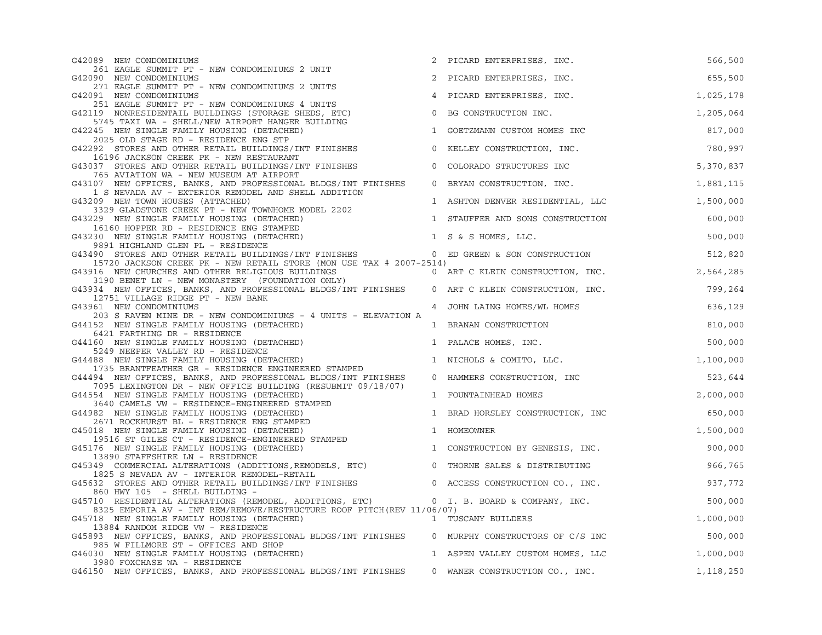| G42089 NEW CONDOMINIUMS                                                                                                                                                                                                                                                     |                | PICARD ENTERPRISES, INC.         | 566,500   |
|-----------------------------------------------------------------------------------------------------------------------------------------------------------------------------------------------------------------------------------------------------------------------------|----------------|----------------------------------|-----------|
| 261 EAGLE SUMMIT PT - NEW CONDOMINIUMS 2 UNIT<br>G42090 NEW CONDOMINIUMS                                                                                                                                                                                                    |                | 2 PICARD ENTERPRISES, INC.       | 655,500   |
| 271 EAGLE SUMMIT PT - NEW CONDOMINIUMS 2 UNITS                                                                                                                                                                                                                              |                |                                  |           |
| G42091 NEW CONDOMINIUMS<br>251 EAGLE SUMMIT PT - NEW CONDOMINIUMS 4 UNITS                                                                                                                                                                                                   |                | 4 PICARD ENTERPRISES, INC.       | 1,025,178 |
| G42119 NONRESIDENTAIL BUILDINGS (STORAGE SHEDS, ETC)                                                                                                                                                                                                                        | $\overline{0}$ | BG CONSTRUCTION INC.             | 1,205,064 |
| 5745 TAXI WA - SHELL/NEW AIRPORT HANGER BUILDING<br>G42245 NEW SINGLE FAMILY HOUSING (DETACHED)                                                                                                                                                                             | $\mathbf{1}$   | GOETZMANN CUSTOM HOMES INC       | 817,000   |
| 2025 OLD STAGE RD - RESIDENCE ENG STP<br>G42292 STORES AND OTHER RETAIL BUILDINGS/INT FINISHES                                                                                                                                                                              |                | 0 KELLEY CONSTRUCTION, INC.      | 780,997   |
| 16196 JACKSON CREEK PK - NEW RESTAURANT                                                                                                                                                                                                                                     |                |                                  |           |
| G43037 STORES AND OTHER RETAIL BUILDINGS/INT FINISHES<br>765 AVIATION WA - NEW MUSEUM AT AIRPORT                                                                                                                                                                            |                | 0 COLORADO STRUCTURES INC        | 5,370,837 |
| G43107 NEW OFFICES, BANKS, AND PROFESSIONAL BLDGS/INT FINISHES                                                                                                                                                                                                              |                | 0 BRYAN CONSTRUCTION, INC.       | 1,881,115 |
| 1 S NEVADA AV - EXTERIOR REMODEL AND SHELL ADDITION<br>G43209 NEW TOWN HOUSES (ATTACHED)                                                                                                                                                                                    |                | 1 ASHTON DENVER RESIDENTIAL, LLC | 1,500,000 |
| 3329 GLADSTONE CREEK PT - NEW TOWNHOME MODEL 2202                                                                                                                                                                                                                           |                |                                  |           |
| G43229 NEW SINGLE FAMILY HOUSING (DETACHED)                                                                                                                                                                                                                                 |                | 1 STAUFFER AND SONS CONSTRUCTION | 600,000   |
| 16160 HOPPER RD - RESIDENCE ENG STAMPED<br>G43230 NEW SINGLE FAMILY HOUSING (DETACHED)                                                                                                                                                                                      |                | 1 S & S HOMES, LLC.              | 500,000   |
| 9891 HIGHLAND GLEN PL - RESIDENCE                                                                                                                                                                                                                                           |                |                                  |           |
| G43490 STORES AND OTHER RETAIL BUILDINGS/INT FINISHES                                                                                                                                                                                                                       |                | 0 ED GREEN & SON CONSTRUCTION    | 512,820   |
| 15720 JACKSON CREEK PK - NEW RETAIL STORE (MON USE TAX # 2007-2514)<br>2.564,285 NEW CHURCHES AND OTHER RELIGIOUS BUILDINGS<br>3190 BENET LN - NEW MONASTERY (FOUNDATION ONLY)<br>334 NEW OFFICES PANKS AND PROTECTIVE<br>G43916 NEW CHURCHES AND OTHER RELIGIOUS BUILDINGS |                |                                  |           |
|                                                                                                                                                                                                                                                                             |                |                                  |           |
| G43934 NEW OFFICES, BANKS, AND PROFESSIONAL BLDGS/INT FINISHES 0 ART C KLEIN CONSTRUCTION, INC.<br>12751 VILLAGE RIDGE PT - NEW BANK                                                                                                                                        |                |                                  | 799,264   |
| G43961 NEW CONDOMINIUMS                                                                                                                                                                                                                                                     |                | 4 JOHN LAING HOMES/WL HOMES      | 636,129   |
| 203 S RAVEN MINE DR - NEW CONDOMINIUMS - 4 UNITS - ELEVATION A<br>G44152 NEW SINGLE FAMILY HOUSING (DETACHED)                                                                                                                                                               |                | 1 BRANAN CONSTRUCTION            | 810,000   |
| 6421 FARTHING DR - RESIDENCE                                                                                                                                                                                                                                                |                |                                  |           |
| G44160 NEW SINGLE FAMILY HOUSING (DETACHED)                                                                                                                                                                                                                                 |                | 1 PALACE HOMES, INC.             | 500,000   |
| G44488 NEW SINGLE FAMILY HOUSING (DETACHED)                                                                                                                                                                                                                                 |                | 1 NICHOLS & COMITO, LLC.         | 1,100,000 |
| 5249 NEEPER VALLEY RD - RESIDENCE<br>488 NEW SINGLE FAMILY HOUSING (DETACHED)<br>1735 BRANTFEATHER GR - RESIDENCE ENGINEERED STAMPED                                                                                                                                        |                |                                  |           |
| G44494 NEW OFFICES, BANKS, AND PROFESSIONAL BLDGS/INT FINISHES                                                                                                                                                                                                              |                | 0 HAMMERS CONSTRUCTION, INC      | 523,644   |
| 7095 LEXINGTON DR - NEW OFFICE BUILDING (RESUBMIT 09/18/07)<br>G44554 NEW SINGLE FAMILY HOUSING (DETACHED)                                                                                                                                                                  |                | 1 FOUNTAINHEAD HOMES             | 2,000,000 |
| 3640 CAMELS VW - RESIDENCE-ENGINEERED STAMPED                                                                                                                                                                                                                               |                |                                  |           |
| 2671 ROCKHURST BL - RESIDENCE ENG STAMPED<br>2671 ROCKHURST BL - RESIDENCE ENG STAMPED<br>645018 NEW SINGLE FAMILY HOUSING (DETACHED)<br>19516 ST GILES CT - BESIDENCE DYSING                                                                                               |                | 1 BRAD HORSLEY CONSTRUCTION, INC | 650,000   |
| 018 NEW SINGLE FAMILY HOUSING (DETACHED)<br>19516 ST GILES CT - RESIDENCE-ENGINEERED STAMPED<br>176 NEW SINGLE FAMILY HOUSING (DETACHED)<br>13890 STAFFSHIBE IN - PESIDENCE                                                                                                 |                | 1 HOMEOWNER                      | 1,500,000 |
|                                                                                                                                                                                                                                                                             |                |                                  |           |
| G45176 NEW SINGLE FAMILY HOUSING (DETACHED)<br>13890 STAFFSHIRE LN - RESIDENCE                                                                                                                                                                                              |                | 1 CONSTRUCTION BY GENESIS, INC.  | 900,000   |
| G45349 COMMERCIAL ALTERATIONS (ADDITIONS, REMODELS, ETC)                                                                                                                                                                                                                    |                | 0 THORNE SALES & DISTRIBUTING    | 966,765   |
| 1825 S NEVADA AV - INTERIOR REMODEL-RETAIL<br>G45632 STORES AND OTHER RETAIL BUILDINGS/INT FINISHES 0 ACCESS CONSTRUCTION CO., INC.                                                                                                                                         |                |                                  |           |
| 860 HWY 105 - SHELL BUILDING -                                                                                                                                                                                                                                              |                |                                  | 937,772   |
| G45710 RESIDENTIAL ALTERATIONS (REMODEL, ADDITIONS, ETC) 0 I. B. BOARD & COMPANY, INC.                                                                                                                                                                                      |                |                                  | 500,000   |
| 8325 EMPORIA AV - INT REM/REMOVE/RESTRUCTURE ROOF PITCH(REV 11/06/07)                                                                                                                                                                                                       |                |                                  |           |
| G45718 NEW SINGLE FAMILY HOUSING (DETACHED)<br>13884 RANDOM RIDGE VW - RESIDENCE                                                                                                                                                                                            |                | 1 TUSCANY BUILDERS               | 1,000,000 |
| G45893 NEW OFFICES, BANKS, AND PROFESSIONAL BLDGS/INT FINISHES 0 MURPHY CONSTRUCTORS OF C/S INC                                                                                                                                                                             |                |                                  | 500,000   |
| 985 W FILLMORE ST - OFFICES AND SHOP<br>G46030 NEW SINGLE FAMILY HOUSING (DETACHED)                                                                                                                                                                                         |                | 1 ASPEN VALLEY CUSTOM HOMES, LLC | 1,000,000 |
| 3980 FOXCHASE WA - RESIDENCE                                                                                                                                                                                                                                                |                |                                  |           |
| G46150 NEW OFFICES, BANKS, AND PROFESSIONAL BLDGS/INT FINISHES                                                                                                                                                                                                              |                | 0 WANER CONSTRUCTION CO., INC.   | 1,118,250 |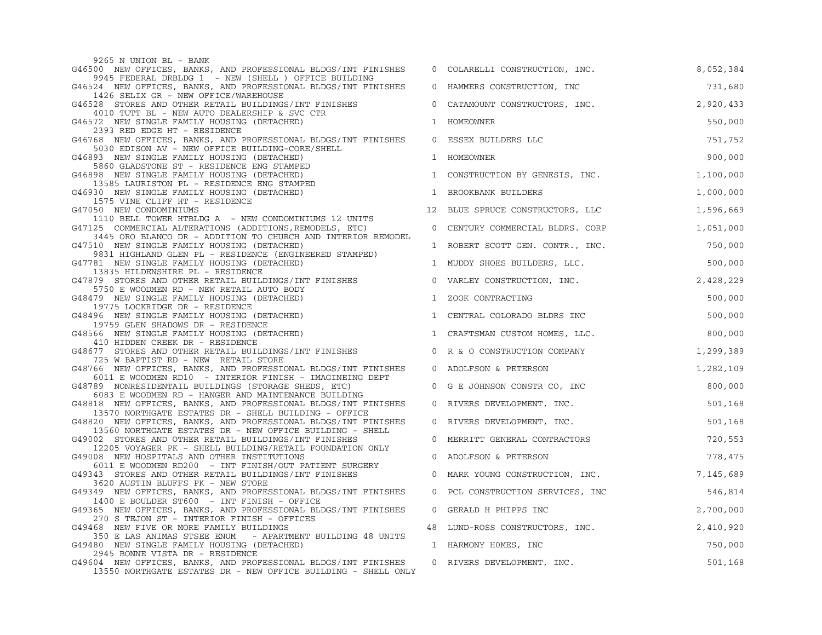9265 N UNION BL - BANK G46500 NEW OFFICES, BANKS, AND PROFESSIONAL BLDGS/INT FINISHES 9945 FEDERAL DRBLDG 1 - NEW (SHELL ) OFFICE BUILDING G46524 NEW OFFICES, BANKS, AND PROFESSIONAL BLDGS/INT FINISHES 1426 SELIX GR - NEW OFFICE/WAREHOUSE G46528 STORES AND OTHER RETAIL BUILDINGS/INT FINISHES 4010 TUTT BL - NEW AUTO DEALERSHIP & SVC CTR G46572 NEW SINGLE FAMILY HOUSING (DETACHED) 2393 RED EDGE HT - RESIDENCE G46768 NEW OFFICES, BANKS, AND PROFESSIONAL BLDGS/INT FINISHES 5030 EDISON AV - NEW OFFICE BUILDING-CORE/SHELL G46893 NEW SINGLE FAMILY HOUSING (DETACHED) 5860 GLADSTONE ST - RESIDENCE ENG STAMPED G46898 NEW SINGLE FAMILY HOUSING (DETACHED) 13585 LAURISTON PL - RESIDENCE ENG STAMPED G46930 NEW SINGLE FAMILY HOUSING (DETACHED) 1575 VINE CLIFF HT - RESIDENCE G47050 NEW CONDOMINIUMS 1110 BELL TOWER HTBLDG A - NEW CONDOMINIUMS 12 UNITS G47125 COMMERCIAL ALTERATIONS (ADDITIONS, REMODELS, ETC) 3445 ORO BLANCO DR - ADDITION TO CHURCH AND INTERIOR REMODEL G47510 NEW SINGLE FAMILY HOUSING (DETACHED) 9831 HIGHLAND GLEN PL - RESIDENCE (ENGINEERED STAMPED) G47781 NEW SINGLE FAMILY HOUSING (DETACHED) 13835 HILDENSHIRE PL - RESIDENCE G47879 STORES AND OTHER RETAIL BUILDINGS/INT FINISHES 5750 E WOODMEN RD - NEW RETAIL AUTO BODY G48479 NEW SINGLE FAMILY HOUSING (DETACHED) 19775 LOCKRIDGE DR - RESIDENCE G48496 NEW SINGLE FAMILY HOUSING (DETACHED) 19759 GLEN SHADOWS DR - RESIDENCE G48566 NEW SINGLE FAMILY HOUSING (DETACHED) 410 HIDDEN CREEK DR - RESIDENCE G48677 STORES AND OTHER RETAIL BUILDINGS/INT FINISHES 725 W BAPTIST RD - NEW RETAIL STORE G48766 NEW OFFICES, BANKS, AND PROFESSIONAL BLDGS/INT FINISHES 0 ADOLFSON & PETERSON 1,282,109 6011 E WOODMEN RD10 - INTERIOR FINISH - IMAGINEING DEPT G48789 NONRESIDENTAIL BUILDINGS (STORAGE SHEDS, ETC) 6083 E WOODMEN RD - HANGER AND MAINTENANCE BUILDING G48818 NEW OFFICES, BANKS, AND PROFESSIONAL BLDGS/INT FINISHES 13570 NORTHGATE ESTATES DR - SHELL BUILDING - OFFICE G48820 NEW OFFICES, BANKS, AND PROFESSIONAL BLDGS/INT FINISHES 0 RIVERS DEVELOPMENT, INC. 501,168 13560 NORTHGATE ESTATES DR - NEW OFFICE BUILDING - SHELL G49002 STORES AND OTHER RETAIL BUILDINGS/INT FINISHES 12205 VOYAGER PK - SHELL BUILDING/RETAIL FOUNDATION ONLY G49008 NEW HOSPITALS AND OTHER INSTITUTIONS 6011 E WOODMEN RD200 - INT FINISH/OUT PATIENT SURGERY G49343 STORES AND OTHER RETAIL BUILDINGS/INT FINISHES 3620 AUSTIN BLUFFS PK - NEW STORE G49349 NEW OFFICES, BANKS, AND PROFESSIONAL BLDGS/INT FINISHES 1400 E BOULDER ST600 - INT FINISH - OFFICE G49365 NEW OFFICES, BANKS, AND PROFESSIONAL BLDGS/INT FINISHES 270 S TEJON ST - INTERIOR FINISH - OFFICES G49468 NEW FIVE OR MORE FAMILY BUILDINGS 350 E LAS ANIMAS STSEE ENUM - APARTMENT BUILDING 48 UNITS G49480 NEW SINGLE FAMILY HOUSING (DETACHED) 2945 BONNE VISTA DR - RESIDENCE G49604 NEW OFFICES, BANKS, AND PROFESSIONAL BLDGS/INT FINISHES 13550 NORTHGATE ESTATES DR - NEW OFFICE BUILDING - SHELL ONLY

| 0            | COLARELLI CONSTRUCTION, INC.   | 8,052,384 |
|--------------|--------------------------------|-----------|
| 0            | HAMMERS CONSTRUCTION, INC      | 731,680   |
| 0            | CATAMOUNT CONSTRUCTORS, INC.   | 2,920,433 |
| 1            | HOMEOWNER                      | 550,000   |
| 0            | ESSEX BUILDERS LLC             | 751,752   |
| 1            | HOMEOWNER                      | 900,000   |
| 1            | CONSTRUCTION BY GENESIS, INC.  | 1,100,000 |
| $\mathbf{1}$ | BROOKBANK BUILDERS             | 1,000,000 |
| 12           | BLUE SPRUCE CONSTRUCTORS, LLC  | 1,596,669 |
| 0            | CENTURY COMMERCIAL BLDRS. CORP | 1,051,000 |
| 1            | ROBERT SCOTT GEN. CONTR., INC. | 750,000   |
| 1            | MUDDY SHOES BUILDERS, LLC.     | 500,000   |
| 0            | VARLEY CONSTRUCTION, INC.      | 2,428,229 |
| 1            | ZOOK CONTRACTING               | 500,000   |
| 1            | CENTRAL COLORADO BLDRS INC     | 500,000   |
| 1            | CRAFTSMAN CUSTOM HOMES, LLC.   | 800,000   |
| 0            | R & O CONSTRUCTION COMPANY     | 1,299,389 |
| 0            | ADOLFSON & PETERSON            | 1,282,109 |
| 0            | G E JOHNSON CONSTR CO, INC     | 800,000   |
| 0            | RIVERS DEVELOPMENT, INC.       | 501,168   |
| 0            | RIVERS DEVELOPMENT, INC.       | 501,168   |
| 0            | MERRITT GENERAL CONTRACTORS    | 720,553   |
| 0            | ADOLFSON & PETERSON            | 778,475   |
| 0            | MARK YOUNG CONSTRUCTION, INC.  | 7,145,689 |
| 0            | PCL CONSTRUCTION SERVICES, INC | 546,814   |
| $\mathbf{0}$ | GERALD H PHIPPS INC            | 2,700,000 |
| 48           | LUND-ROSS CONSTRUCTORS, INC.   | 2,410,920 |
| $\mathbf{1}$ | HARMONY HOMES, INC             | 750,000   |
| 0            | RIVERS DEVELOPMENT, INC.       | 501,168   |